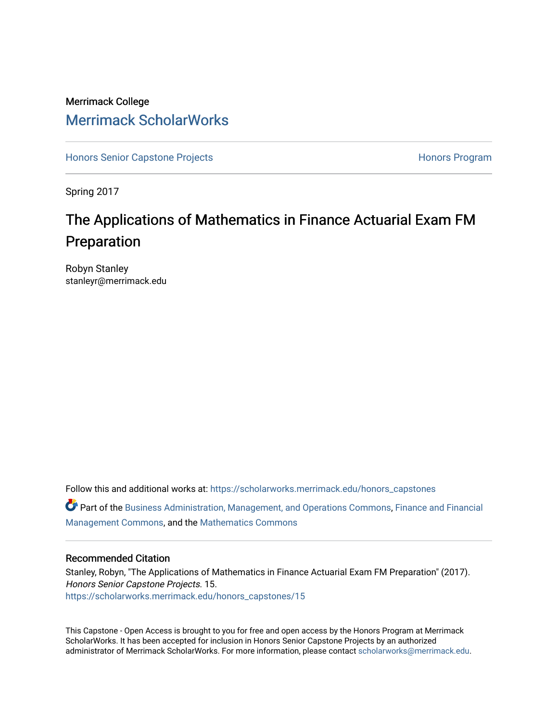### Merrimack College [Merrimack ScholarWorks](https://scholarworks.merrimack.edu/)

[Honors Senior Capstone Projects](https://scholarworks.merrimack.edu/honors_capstones) **Honors Program** Honors Program

Spring 2017

## The Applications of Mathematics in Finance Actuarial Exam FM Preparation

Robyn Stanley stanleyr@merrimack.edu

Follow this and additional works at: [https://scholarworks.merrimack.edu/honors\\_capstones](https://scholarworks.merrimack.edu/honors_capstones?utm_source=scholarworks.merrimack.edu%2Fhonors_capstones%2F15&utm_medium=PDF&utm_campaign=PDFCoverPages) Part of the [Business Administration, Management, and Operations Commons](http://network.bepress.com/hgg/discipline/623?utm_source=scholarworks.merrimack.edu%2Fhonors_capstones%2F15&utm_medium=PDF&utm_campaign=PDFCoverPages), [Finance and Financial](http://network.bepress.com/hgg/discipline/631?utm_source=scholarworks.merrimack.edu%2Fhonors_capstones%2F15&utm_medium=PDF&utm_campaign=PDFCoverPages)

[Management Commons](http://network.bepress.com/hgg/discipline/631?utm_source=scholarworks.merrimack.edu%2Fhonors_capstones%2F15&utm_medium=PDF&utm_campaign=PDFCoverPages), and the [Mathematics Commons](http://network.bepress.com/hgg/discipline/174?utm_source=scholarworks.merrimack.edu%2Fhonors_capstones%2F15&utm_medium=PDF&utm_campaign=PDFCoverPages) 

#### Recommended Citation

Stanley, Robyn, "The Applications of Mathematics in Finance Actuarial Exam FM Preparation" (2017). Honors Senior Capstone Projects. 15. [https://scholarworks.merrimack.edu/honors\\_capstones/15](https://scholarworks.merrimack.edu/honors_capstones/15?utm_source=scholarworks.merrimack.edu%2Fhonors_capstones%2F15&utm_medium=PDF&utm_campaign=PDFCoverPages) 

This Capstone - Open Access is brought to you for free and open access by the Honors Program at Merrimack ScholarWorks. It has been accepted for inclusion in Honors Senior Capstone Projects by an authorized administrator of Merrimack ScholarWorks. For more information, please contact [scholarworks@merrimack.edu](mailto:scholarworks@merrimack.edu).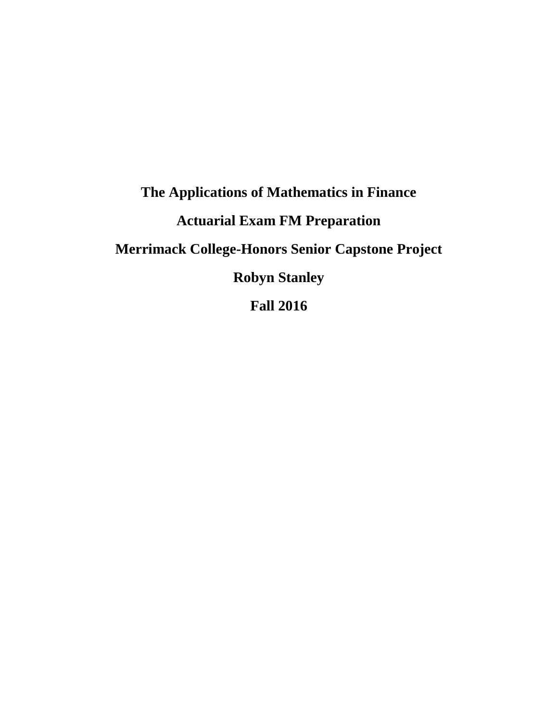# **The Applications of Mathematics in Finance Actuarial Exam FM Preparation Merrimack College-Honors Senior Capstone Project Robyn Stanley Fall 2016**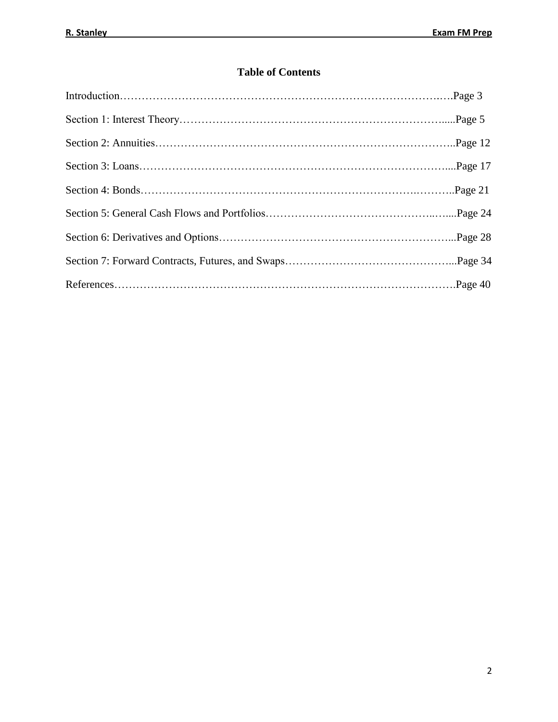### **Table of Contents**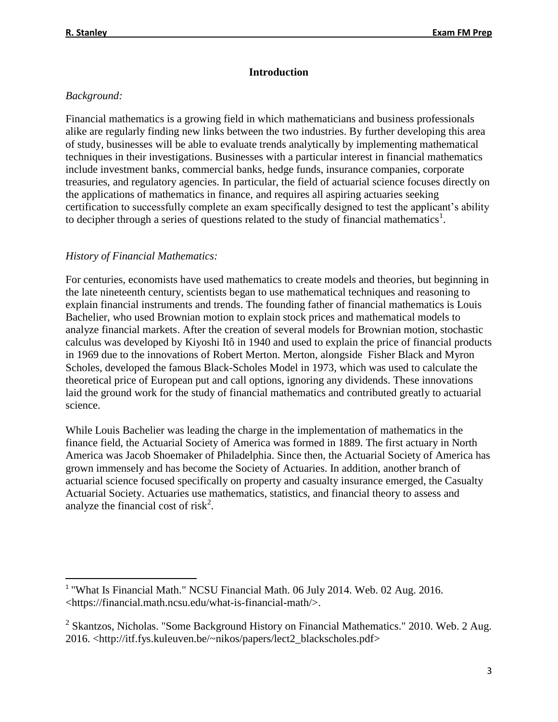### **Introduction**

### *Background:*

Financial mathematics is a growing field in which mathematicians and business professionals alike are regularly finding new links between the two industries. By further developing this area of study, businesses will be able to evaluate trends analytically by implementing mathematical techniques in their investigations. Businesses with a particular interest in financial mathematics include investment banks, commercial banks, hedge funds, insurance companies, corporate treasuries, and regulatory agencies. In particular, the field of actuarial science focuses directly on the applications of mathematics in finance, and requires all aspiring actuaries seeking certification to successfully complete an exam specifically designed to test the applicant's ability to decipher through a series of questions related to the study of financial mathematics<sup>1</sup>.

### *History of Financial Mathematics:*

For centuries, economists have used mathematics to create models and theories, but beginning in the late nineteenth century, scientists began to use mathematical techniques and reasoning to explain financial instruments and trends. The founding father of financial mathematics is Louis Bachelier, who used Brownian motion to explain stock prices and mathematical models to analyze financial markets. After the creation of several models for Brownian motion, stochastic calculus was developed by Kiyoshi Itô in 1940 and used to explain the price of financial products in 1969 due to the innovations of Robert Merton. Merton, alongside Fisher Black and Myron Scholes, developed the famous Black-Scholes Model in 1973, which was used to calculate the theoretical price of European put and call options, ignoring any dividends. These innovations laid the ground work for the study of financial mathematics and contributed greatly to actuarial science.

While Louis Bachelier was leading the charge in the implementation of mathematics in the finance field, the Actuarial Society of America was formed in 1889. The first actuary in North America was Jacob Shoemaker of Philadelphia. Since then, the Actuarial Society of America has grown immensely and has become the Society of Actuaries. In addition, another branch of actuarial science focused specifically on property and casualty insurance emerged, the Casualty Actuarial Society. Actuaries use mathematics, statistics, and financial theory to assess and analyze the financial cost of risk<sup>2</sup>.

 $\overline{a}$ <sup>1</sup> "What Is Financial Math." NCSU Financial Math. 06 July 2014. Web. 02 Aug. 2016. <https://financial.math.ncsu.edu/what-is-financial-math/>.

 $2$  Skantzos, Nicholas. "Some Background History on Financial Mathematics." 2010. Web. 2 Aug. 2016. <http://itf.fys.kuleuven.be/~nikos/papers/lect2\_blackscholes.pdf>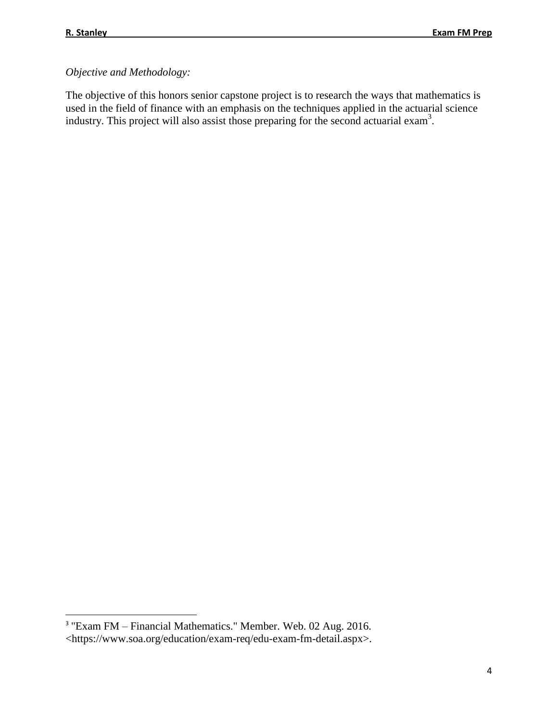$\overline{a}$ 

### *Objective and Methodology:*

The objective of this honors senior capstone project is to research the ways that mathematics is used in the field of finance with an emphasis on the techniques applied in the actuarial science industry. This project will also assist those preparing for the second actuarial exam<sup>3</sup>.

<sup>&</sup>lt;sup>3</sup> "Exam FM – Financial Mathematics." Member. Web. 02 Aug. 2016. <https://www.soa.org/education/exam-req/edu-exam-fm-detail.aspx>.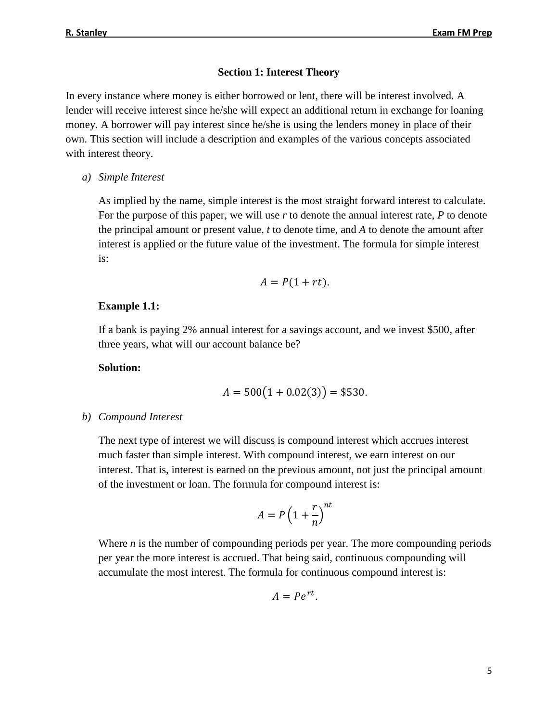#### **Section 1: Interest Theory**

In every instance where money is either borrowed or lent, there will be interest involved. A lender will receive interest since he/she will expect an additional return in exchange for loaning money. A borrower will pay interest since he/she is using the lenders money in place of their own. This section will include a description and examples of the various concepts associated with interest theory.

*a) Simple Interest*

As implied by the name, simple interest is the most straight forward interest to calculate. For the purpose of this paper, we will use *r* to denote the annual interest rate, *P* to denote the principal amount or present value, *t* to denote time, and *A* to denote the amount after interest is applied or the future value of the investment. The formula for simple interest is:

$$
A = P(1 + rt).
$$

#### **Example 1.1:**

If a bank is paying 2% annual interest for a savings account, and we invest \$500, after three years, what will our account balance be?

#### **Solution:**

$$
A = 500(1 + 0.02(3)) = $530.
$$

*b) Compound Interest*

The next type of interest we will discuss is compound interest which accrues interest much faster than simple interest. With compound interest, we earn interest on our interest. That is, interest is earned on the previous amount, not just the principal amount of the investment or loan. The formula for compound interest is:

$$
A = P\left(1 + \frac{r}{n}\right)^{nt}
$$

Where *n* is the number of compounding periods per year. The more compounding periods per year the more interest is accrued. That being said, continuous compounding will accumulate the most interest. The formula for continuous compound interest is:

$$
A = Pe^{rt}.
$$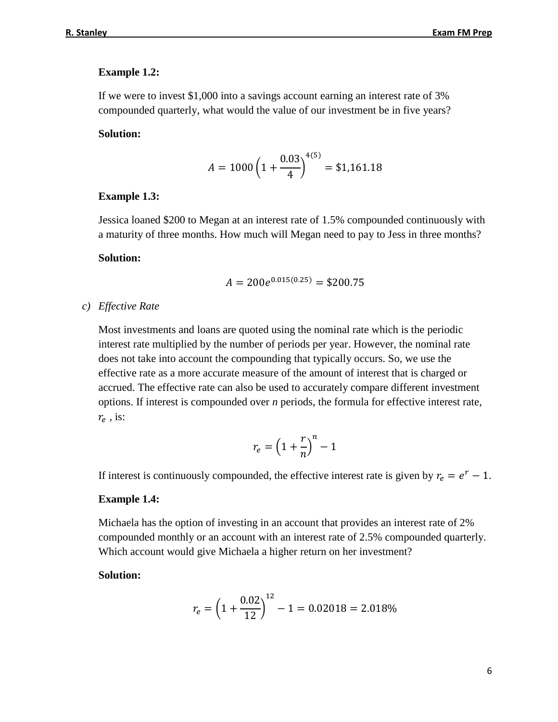#### **Example 1.2:**

If we were to invest \$1,000 into a savings account earning an interest rate of 3% compounded quarterly, what would the value of our investment be in five years?

#### **Solution:**

$$
A = 1000 \left( 1 + \frac{0.03}{4} \right)^{4(5)} = $1,161.18
$$

#### **Example 1.3:**

Jessica loaned \$200 to Megan at an interest rate of 1.5% compounded continuously with a maturity of three months. How much will Megan need to pay to Jess in three months?

#### **Solution:**

$$
A = 200e^{0.015(0.25)} = $200.75
$$

*c) Effective Rate*

Most investments and loans are quoted using the nominal rate which is the periodic interest rate multiplied by the number of periods per year. However, the nominal rate does not take into account the compounding that typically occurs. So, we use the effective rate as a more accurate measure of the amount of interest that is charged or accrued. The effective rate can also be used to accurately compare different investment options. If interest is compounded over *n* periods, the formula for effective interest rate,  $r_e$  , is:

$$
r_e = \left(1 + \frac{r}{n}\right)^n - 1
$$

If interest is continuously compounded, the effective interest rate is given by  $r_e = e^r - 1$ .

#### **Example 1.4:**

Michaela has the option of investing in an account that provides an interest rate of 2% compounded monthly or an account with an interest rate of 2.5% compounded quarterly. Which account would give Michaela a higher return on her investment?

#### **Solution:**

$$
r_e = \left(1 + \frac{0.02}{12}\right)^{12} - 1 = 0.02018 = 2.018\%
$$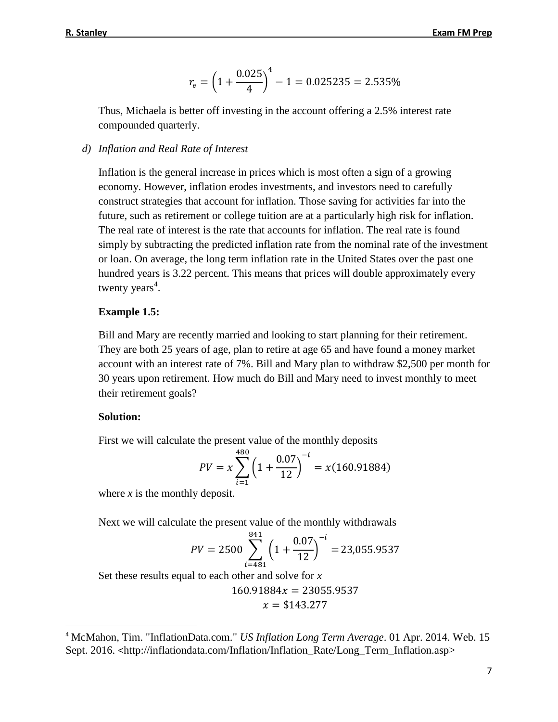$$
r_e = \left(1 + \frac{0.025}{4}\right)^4 - 1 = 0.025235 = 2.535\%
$$

Thus, Michaela is better off investing in the account offering a 2.5% interest rate compounded quarterly.

*d) Inflation and Real Rate of Interest*

Inflation is the general increase in prices which is most often a sign of a growing economy. However, inflation erodes investments, and investors need to carefully construct strategies that account for inflation. Those saving for activities far into the future, such as retirement or college tuition are at a particularly high risk for inflation. The real rate of interest is the rate that accounts for inflation. The real rate is found simply by subtracting the predicted inflation rate from the nominal rate of the investment or loan. On average, the long term inflation rate in the United States over the past one hundred years is 3.22 percent. This means that prices will double approximately every twenty years<sup>4</sup>.

### **Example 1.5:**

Bill and Mary are recently married and looking to start planning for their retirement. They are both 25 years of age, plan to retire at age 65 and have found a money market account with an interest rate of 7%. Bill and Mary plan to withdraw \$2,500 per month for 30 years upon retirement. How much do Bill and Mary need to invest monthly to meet their retirement goals?

#### **Solution:**

 $\overline{\phantom{a}}$ 

First we will calculate the present value of the monthly deposits

$$
PV = x \sum_{i=1}^{480} \left( 1 + \frac{0.07}{12} \right)^{-i} = x(160.91884)
$$

where *x* is the monthly deposit.

Next we will calculate the present value of the monthly withdrawals

$$
PV = 2500 \sum_{i=481}^{841} \left( 1 + \frac{0.07}{12} \right)^{-i} = 23,055.9537
$$

Set these results equal to each other and solve for *x*

$$
160.91884x = 23055.9537
$$

$$
x=\$143.277
$$

<sup>4</sup> McMahon, Tim. "InflationData.com." *US Inflation Long Term Average*. 01 Apr. 2014. Web. 15 Sept. 2016. <[http://inflationdata.com/Inflation/Inflation\\_Rate/Long\\_Term\\_Inflation.asp>](http://inflationdata.com/Inflation/Inflation_Rate/Long_Term_Inflation.asp)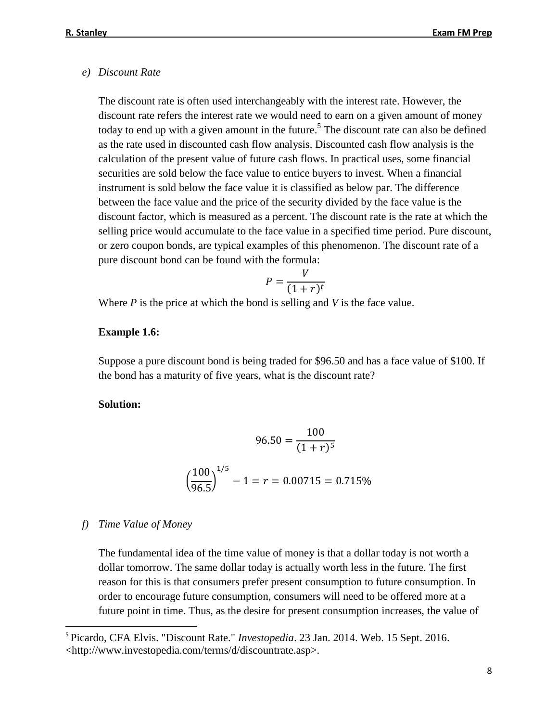#### *e) Discount Rate*

The discount rate is often used interchangeably with the interest rate. However, the discount rate refers the interest rate we would need to earn on a given amount of money today to end up with a given amount in the future.<sup>5</sup> The discount rate can also be defined as the rate used in discounted cash flow analysis. Discounted cash flow analysis is the calculation of the present value of future cash flows. In practical uses, some financial securities are sold below the face value to entice buyers to invest. When a financial instrument is sold below the face value it is classified as below par. The difference between the face value and the price of the security divided by the face value is the discount factor, which is measured as a percent. The discount rate is the rate at which the selling price would accumulate to the face value in a specified time period. Pure discount, or zero coupon bonds, are typical examples of this phenomenon. The discount rate of a pure discount bond can be found with the formula:

$$
P = \frac{V}{(1+r)^t}
$$

Where *P* is the price at which the bond is selling and *V* is the face value.

#### **Example 1.6:**

Suppose a pure discount bond is being traded for \$96.50 and has a face value of \$100. If the bond has a maturity of five years, what is the discount rate?

#### **Solution:**

$$
96.50 = \frac{100}{(1+r)^5}
$$

$$
\left(\frac{100}{96.5}\right)^{1/5} - 1 = r = 0.00715 = 0.715\%
$$

#### *f) Time Value of Money*

l

The fundamental idea of the time value of money is that a dollar today is not worth a dollar tomorrow. The same dollar today is actually worth less in the future. The first reason for this is that consumers prefer present consumption to future consumption. In order to encourage future consumption, consumers will need to be offered more at a future point in time. Thus, as the desire for present consumption increases, the value of

<sup>5</sup> Picardo, CFA Elvis. "Discount Rate." *Investopedia*. 23 Jan. 2014. Web. 15 Sept. 2016. <http://www.investopedia.com/terms/d/discountrate.asp>.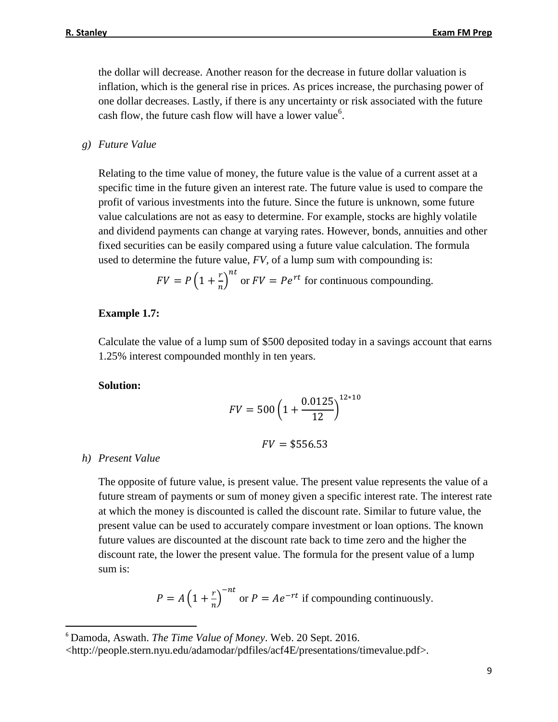the dollar will decrease. Another reason for the decrease in future dollar valuation is inflation, which is the general rise in prices. As prices increase, the purchasing power of one dollar decreases. Lastly, if there is any uncertainty or risk associated with the future cash flow, the future cash flow will have a lower value<sup>6</sup>.

#### *g) Future Value*

Relating to the time value of money, the future value is the value of a current asset at a specific time in the future given an interest rate. The future value is used to compare the profit of various investments into the future. Since the future is unknown, some future value calculations are not as easy to determine. For example, stocks are highly volatile and dividend payments can change at varying rates. However, bonds, annuities and other fixed securities can be easily compared using a future value calculation. The formula used to determine the future value, *FV,* of a lump sum with compounding is:

$$
FV = P\left(1 + \frac{r}{n}\right)^{nt}
$$
 or  $FV = Pe^{rt}$  for continuous compounding.

#### **Example 1.7:**

Calculate the value of a lump sum of \$500 deposited today in a savings account that earns 1.25% interest compounded monthly in ten years.

#### **Solution:**

$$
FV = 500 \left( 1 + \frac{0.0125}{12} \right)^{12 \times 10}
$$

$$
FV = $556.53
$$

#### *h) Present Value*

l

The opposite of future value, is present value. The present value represents the value of a future stream of payments or sum of money given a specific interest rate. The interest rate at which the money is discounted is called the discount rate. Similar to future value, the present value can be used to accurately compare investment or loan options. The known future values are discounted at the discount rate back to time zero and the higher the discount rate, the lower the present value. The formula for the present value of a lump sum is:

$$
P = A \left( 1 + \frac{r}{n} \right)^{-nt}
$$
 or  $P = Ae^{-rt}$  if compounding continuously.

<sup>6</sup> Damoda, Aswath. *The Time Value of Money*. Web. 20 Sept. 2016.

<sup>&</sup>lt;http://people.stern.nyu.edu/adamodar/pdfiles/acf4E/presentations/timevalue.pdf>.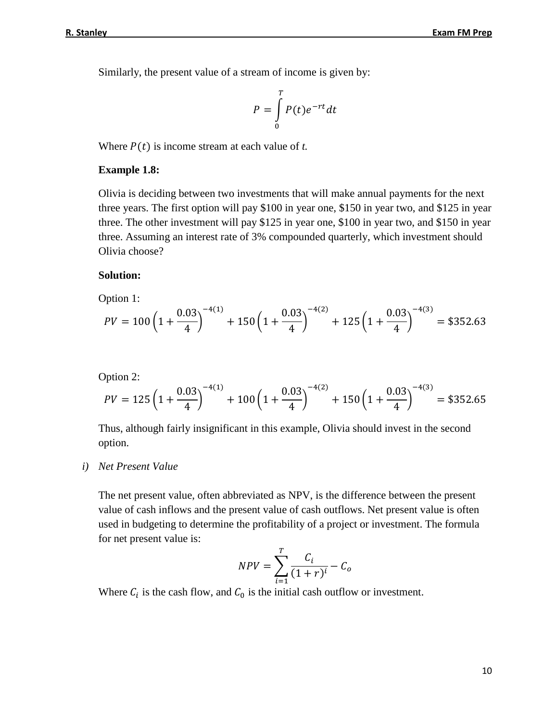Similarly, the present value of a stream of income is given by:

$$
P = \int_{0}^{T} P(t)e^{-rt}dt
$$

Where  $P(t)$  is income stream at each value of *t*.

#### **Example 1.8:**

Olivia is deciding between two investments that will make annual payments for the next three years. The first option will pay \$100 in year one, \$150 in year two, and \$125 in year three. The other investment will pay \$125 in year one, \$100 in year two, and \$150 in year three. Assuming an interest rate of 3% compounded quarterly, which investment should Olivia choose?

#### **Solution:**

Option 1:

$$
PV = 100\left(1 + \frac{0.03}{4}\right)^{-4(1)} + 150\left(1 + \frac{0.03}{4}\right)^{-4(2)} + 125\left(1 + \frac{0.03}{4}\right)^{-4(3)} = $352.63
$$

Option 2:

$$
PV = 125\left(1 + \frac{0.03}{4}\right)^{-4(1)} + 100\left(1 + \frac{0.03}{4}\right)^{-4(2)} + 150\left(1 + \frac{0.03}{4}\right)^{-4(3)} = $352.65
$$

Thus, although fairly insignificant in this example, Olivia should invest in the second option.

*i) Net Present Value*

The net present value, often abbreviated as NPV, is the difference between the present value of cash inflows and the present value of cash outflows. Net present value is often used in budgeting to determine the profitability of a project or investment. The formula for net present value is:

$$
NPV = \sum_{i=1}^{T} \frac{C_i}{(1+r)^i} - C_o
$$

Where  $C_i$  is the cash flow, and  $C_0$  is the initial cash outflow or investment.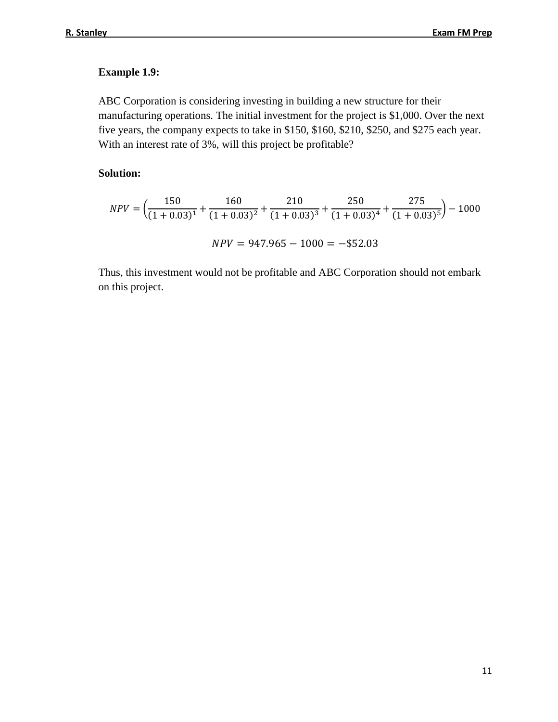### **Example 1.9:**

ABC Corporation is considering investing in building a new structure for their manufacturing operations. The initial investment for the project is \$1,000. Over the next five years, the company expects to take in \$150, \$160, \$210, \$250, and \$275 each year. With an interest rate of 3%, will this project be profitable?

### **Solution:**

$$
NPV = \left(\frac{150}{(1+0.03)^1} + \frac{160}{(1+0.03)^2} + \frac{210}{(1+0.03)^3} + \frac{250}{(1+0.03)^4} + \frac{275}{(1+0.03)^5}\right) - 1000
$$
  

$$
NPV = 947.965 - 1000 = -\$52.03
$$

Thus, this investment would not be profitable and ABC Corporation should not embark on this project.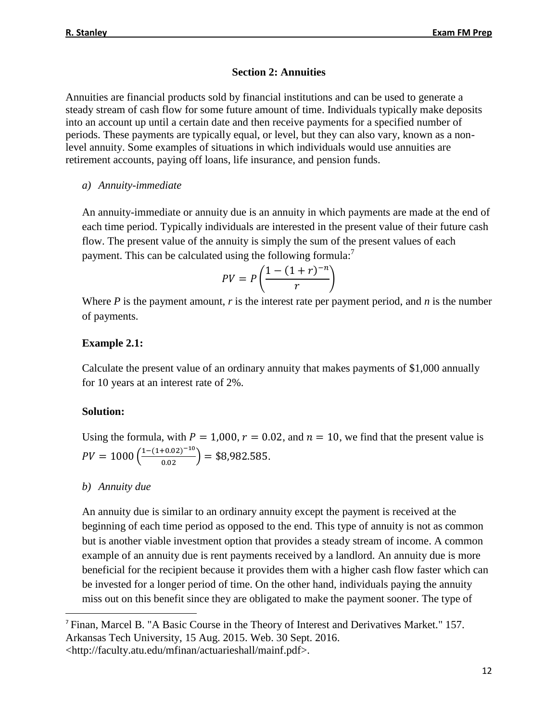### **Section 2: Annuities**

Annuities are financial products sold by financial institutions and can be used to generate a steady stream of cash flow for some future amount of time. Individuals typically make deposits into an account up until a certain date and then receive payments for a specified number of periods. These payments are typically equal, or level, but they can also vary, known as a nonlevel annuity. Some examples of situations in which individuals would use annuities are retirement accounts, paying off loans, life insurance, and pension funds.

### *a) Annuity-immediate*

An annuity-immediate or annuity due is an annuity in which payments are made at the end of each time period. Typically individuals are interested in the present value of their future cash flow. The present value of the annuity is simply the sum of the present values of each payment. This can be calculated using the following formula:<sup>7</sup>

$$
PV = P\left(\frac{1 - (1 + r)^{-n}}{r}\right)
$$

Where *P* is the payment amount, *r* is the interest rate per payment period, and *n* is the number of payments.

### **Example 2.1:**

Calculate the present value of an ordinary annuity that makes payments of \$1,000 annually for 10 years at an interest rate of 2%.

### **Solution:**

Using the formula, with  $P = 1,000$ ,  $r = 0.02$ , and  $n = 10$ , we find that the present value is  $PV = 1000 \left( \frac{1-(1+0.02)^{-10}}{0.02} \right) = $8,982.585.$ 

### *b) Annuity due*

 $\overline{\phantom{a}}$ 

An annuity due is similar to an ordinary annuity except the payment is received at the beginning of each time period as opposed to the end. This type of annuity is not as common but is another viable investment option that provides a steady stream of income. A common example of an annuity due is rent payments received by a landlord. An annuity due is more beneficial for the recipient because it provides them with a higher cash flow faster which can be invested for a longer period of time. On the other hand, individuals paying the annuity miss out on this benefit since they are obligated to make the payment sooner. The type of

<sup>&</sup>lt;sup>7</sup> Finan, Marcel B. "A Basic Course in the Theory of Interest and Derivatives Market." 157. Arkansas Tech University, 15 Aug. 2015. Web. 30 Sept. 2016. <http://faculty.atu.edu/mfinan/actuarieshall/mainf.pdf>.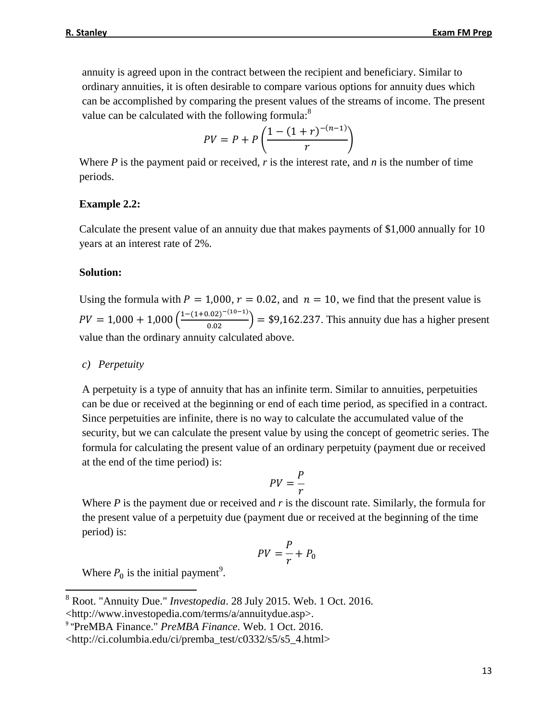annuity is agreed upon in the contract between the recipient and beneficiary. Similar to ordinary annuities, it is often desirable to compare various options for annuity dues which can be accomplished by comparing the present values of the streams of income. The present value can be calculated with the following formula: $^8$ 

$$
PV = P + P\left(\frac{1 - (1 + r)^{-(n-1)}}{r}\right)
$$

Where *P* is the payment paid or received, *r* is the interest rate, and *n* is the number of time periods.

#### **Example 2.2:**

Calculate the present value of an annuity due that makes payments of \$1,000 annually for 10 years at an interest rate of 2%.

#### **Solution:**

Using the formula with  $P = 1,000$ ,  $r = 0.02$ , and  $n = 10$ , we find that the present value is  $PV = 1,000 + 1,000 \left( \frac{1-(1+0.02)^{-(10-1)}}{0.02} \right) = $9,162.237$ . This annuity due has a higher present value than the ordinary annuity calculated above.

#### *c) Perpetuity*

A perpetuity is a type of annuity that has an infinite term. Similar to annuities, perpetuities can be due or received at the beginning or end of each time period, as specified in a contract. Since perpetuities are infinite, there is no way to calculate the accumulated value of the security, but we can calculate the present value by using the concept of geometric series. The formula for calculating the present value of an ordinary perpetuity (payment due or received at the end of the time period) is:

$$
PV = \frac{P}{r}
$$

Where *P* is the payment due or received and *r* is the discount rate. Similarly, the formula for the present value of a perpetuity due (payment due or received at the beginning of the time period) is:

$$
PV = \frac{P}{r} + P_0
$$

Where  $P_0$  is the initial payment<sup>9</sup>.

 $\overline{\phantom{a}}$ 

<sup>8</sup> Root. "Annuity Due." *Investopedia*. 28 July 2015. Web. 1 Oct. 2016.

<sup>&</sup>lt;http://www.investopedia.com/terms/a/annuitydue.asp>.

<sup>9</sup> "PreMBA Finance." *PreMBA Finance*. Web. 1 Oct. 2016.

<sup>&</sup>lt;http://ci.columbia.edu/ci/premba\_test/c0332/s5/s5\_4.html>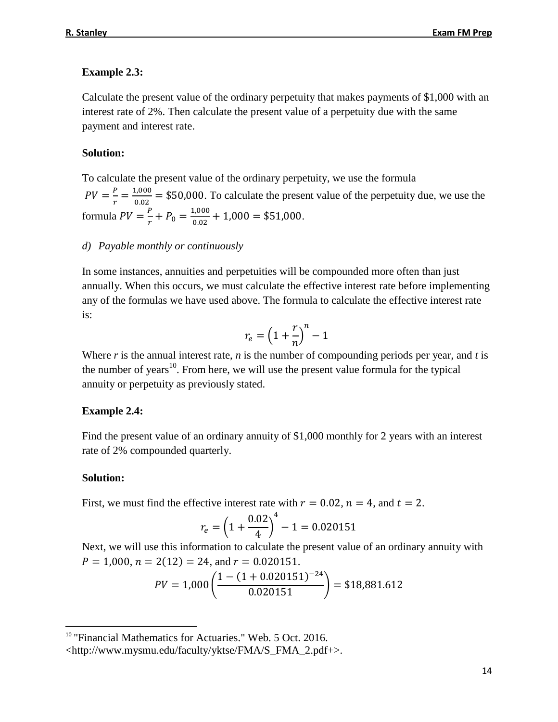### **Example 2.3:**

Calculate the present value of the ordinary perpetuity that makes payments of \$1,000 with an interest rate of 2%. Then calculate the present value of a perpetuity due with the same payment and interest rate.

### **Solution:**

To calculate the present value of the ordinary perpetuity, we use the formula  $PV = \frac{P}{r}$  $\frac{P}{r} = \frac{1,000}{0.02}$  $\frac{0.000}{0.02}$  = \$50,000. To calculate the present value of the perpetuity due, we use the formula  $PV = \frac{P}{r}$  $\frac{P}{r} + P_0 = \frac{1,000}{0.02}$  $\frac{1,000}{0.02} + 1,000 = $51,000.$ 

### *d) Payable monthly or continuously*

In some instances, annuities and perpetuities will be compounded more often than just annually. When this occurs, we must calculate the effective interest rate before implementing any of the formulas we have used above. The formula to calculate the effective interest rate is:

$$
r_e = \left(1 + \frac{r}{n}\right)^n - 1
$$

Where *r* is the annual interest rate, *n* is the number of compounding periods per year, and *t* is the number of years<sup>10</sup>. From here, we will use the present value formula for the typical annuity or perpetuity as previously stated.

### **Example 2.4:**

Find the present value of an ordinary annuity of \$1,000 monthly for 2 years with an interest rate of 2% compounded quarterly.

### **Solution:**

l

First, we must find the effective interest rate with  $r = 0.02$ ,  $n = 4$ , and  $t = 2$ .

$$
r_e = \left(1 + \frac{0.02}{4}\right)^4 - 1 = 0.020151
$$

Next, we will use this information to calculate the present value of an ordinary annuity with  $P = 1,000$ ,  $n = 2(12) = 24$ , and  $r = 0.020151$ .

$$
PV = 1,000 \left( \frac{1 - (1 + 0.020151)^{-24}}{0.020151} \right) = $18,881.612
$$

<sup>&</sup>lt;sup>10</sup> "Financial Mathematics for Actuaries." Web. 5 Oct. 2016.

<sup>&</sup>lt;http://www.mysmu.edu/faculty/yktse/FMA/S\_FMA\_2.pdf+>.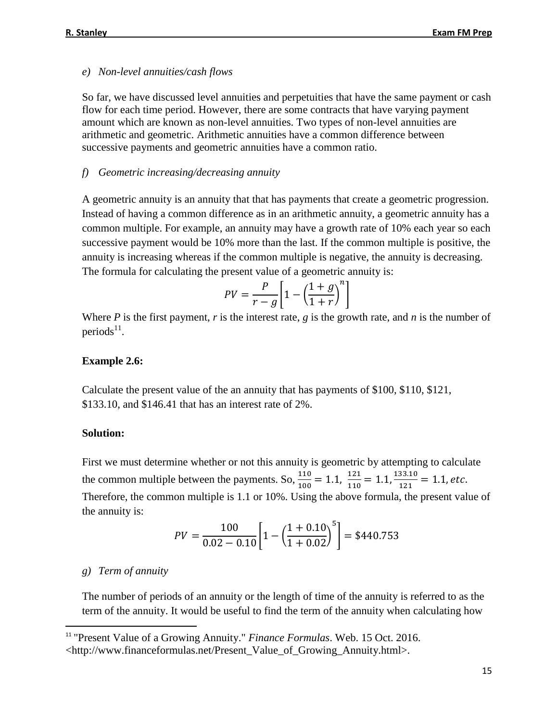#### *e) Non-level annuities/cash flows*

So far, we have discussed level annuities and perpetuities that have the same payment or cash flow for each time period. However, there are some contracts that have varying payment amount which are known as non-level annuities. Two types of non-level annuities are arithmetic and geometric. Arithmetic annuities have a common difference between successive payments and geometric annuities have a common ratio.

#### *f) Geometric increasing/decreasing annuity*

A geometric annuity is an annuity that that has payments that create a geometric progression. Instead of having a common difference as in an arithmetic annuity, a geometric annuity has a common multiple. For example, an annuity may have a growth rate of 10% each year so each successive payment would be 10% more than the last. If the common multiple is positive, the annuity is increasing whereas if the common multiple is negative, the annuity is decreasing. The formula for calculating the present value of a geometric annuity is:

$$
PV = \frac{P}{r - g} \left[ 1 - \left( \frac{1 + g}{1 + r} \right)^n \right]
$$

Where *P* is the first payment, *r* is the interest rate, *g* is the growth rate, and *n* is the number of periods $^{11}$ .

#### **Example 2.6:**

Calculate the present value of the an annuity that has payments of \$100, \$110, \$121, \$133.10, and \$146.41 that has an interest rate of 2%.

#### **Solution:**

First we must determine whether or not this annuity is geometric by attempting to calculate the common multiple between the payments. So,  $\frac{110}{100} = 1.1$ ,  $\frac{121}{110}$  $\frac{121}{110} = 1.1, \frac{133.10}{121}$  $\frac{33.10}{121}$  = 1.1, etc. Therefore, the common multiple is 1.1 or 10%. Using the above formula, the present value of the annuity is:

$$
PV = \frac{100}{0.02 - 0.10} \left[ 1 - \left( \frac{1 + 0.10}{1 + 0.02} \right)^5 \right] = $440.753
$$

#### *g) Term of annuity*

l

The number of periods of an annuity or the length of time of the annuity is referred to as the term of the annuity. It would be useful to find the term of the annuity when calculating how

<sup>11</sup> "Present Value of a Growing Annuity." *Finance Formulas*. Web. 15 Oct. 2016.

<sup>&</sup>lt;http://www.financeformulas.net/Present\_Value\_of\_Growing\_Annuity.html>.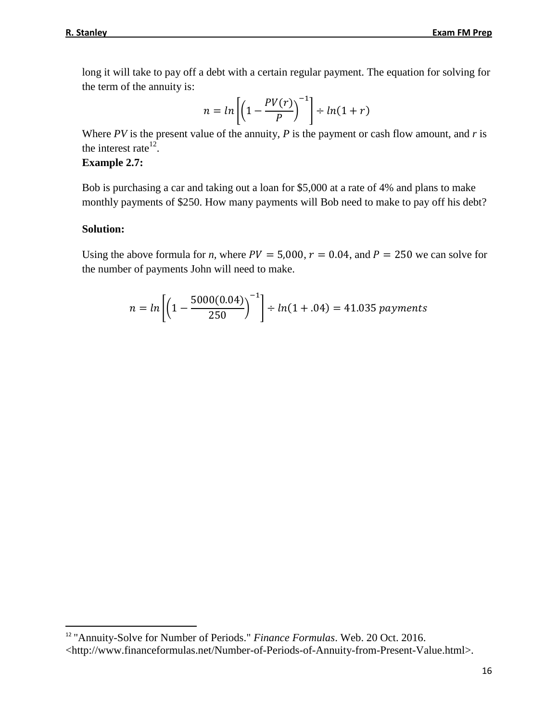long it will take to pay off a debt with a certain regular payment. The equation for solving for the term of the annuity is:

$$
n = \ln\left[\left(1 - \frac{PV(r)}{P}\right)^{-1}\right] \div \ln(1+r)
$$

Where *PV* is the present value of the annuity, *P* is the payment or cash flow amount, and *r* is the interest rate $^{12}$ .

### **Example 2.7:**

Bob is purchasing a car and taking out a loan for \$5,000 at a rate of 4% and plans to make monthly payments of \$250. How many payments will Bob need to make to pay off his debt?

### **Solution:**

l

Using the above formula for *n*, where  $PV = 5,000$ ,  $r = 0.04$ , and  $P = 250$  we can solve for the number of payments John will need to make.

$$
n = \ln\left[\left(1 - \frac{5000(0.04)}{250}\right)^{-1}\right] \div \ln(1 + .04) = 41.035\,\text{payments}
$$

<sup>12</sup> "Annuity-Solve for Number of Periods." *Finance Formulas*. Web. 20 Oct. 2016. <http://www.financeformulas.net/Number-of-Periods-of-Annuity-from-Present-Value.html>.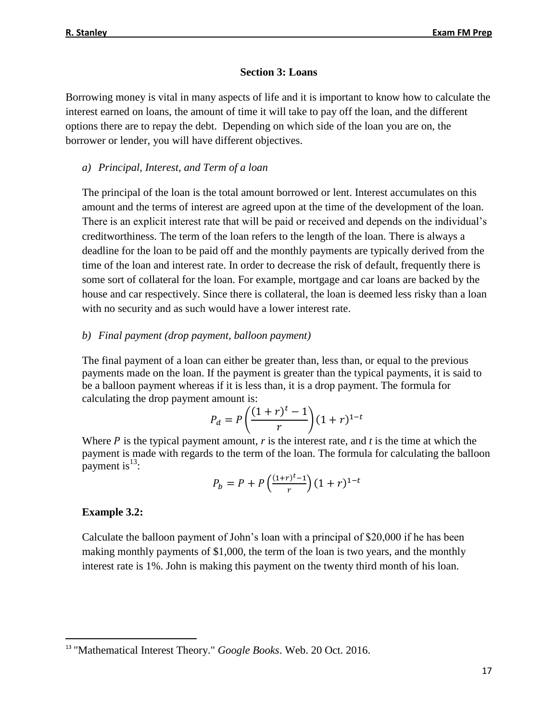### **Section 3: Loans**

Borrowing money is vital in many aspects of life and it is important to know how to calculate the interest earned on loans, the amount of time it will take to pay off the loan, and the different options there are to repay the debt. Depending on which side of the loan you are on, the borrower or lender, you will have different objectives.

*a) Principal, Interest, and Term of a loan*

The principal of the loan is the total amount borrowed or lent. Interest accumulates on this amount and the terms of interest are agreed upon at the time of the development of the loan. There is an explicit interest rate that will be paid or received and depends on the individual's creditworthiness. The term of the loan refers to the length of the loan. There is always a deadline for the loan to be paid off and the monthly payments are typically derived from the time of the loan and interest rate. In order to decrease the risk of default, frequently there is some sort of collateral for the loan. For example, mortgage and car loans are backed by the house and car respectively. Since there is collateral, the loan is deemed less risky than a loan with no security and as such would have a lower interest rate.

### *b) Final payment (drop payment, balloon payment)*

The final payment of a loan can either be greater than, less than, or equal to the previous payments made on the loan. If the payment is greater than the typical payments, it is said to be a balloon payment whereas if it is less than, it is a drop payment. The formula for calculating the drop payment amount is:

$$
P_d = P\left(\frac{(1+r)^t - 1}{r}\right)(1+r)^{1-t}
$$

Where  $P$  is the typical payment amount,  $r$  is the interest rate, and  $t$  is the time at which the payment is made with regards to the term of the loan. The formula for calculating the balloon payment is  $13$ :

$$
P_b = P + P\left(\frac{(1+r)^t - 1}{r}\right)(1+r)^{1-t}
$$

### **Example 3.2:**

 $\overline{a}$ 

Calculate the balloon payment of John's loan with a principal of \$20,000 if he has been making monthly payments of \$1,000, the term of the loan is two years, and the monthly interest rate is 1%. John is making this payment on the twenty third month of his loan.

<sup>13</sup> "Mathematical Interest Theory." *Google Books*. Web. 20 Oct. 2016.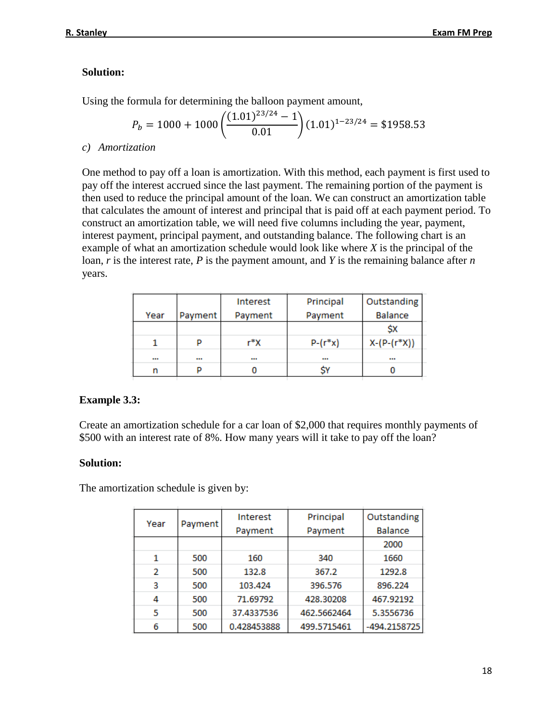### **Solution:**

Using the formula for determining the balloon payment amount,

$$
P_b = 1000 + 1000 \left( \frac{(1.01)^{23/24} - 1}{0.01} \right) (1.01)^{1 - 23/24} = $1958.53
$$

*c) Amortization*

One method to pay off a loan is amortization. With this method, each payment is first used to pay off the interest accrued since the last payment. The remaining portion of the payment is then used to reduce the principal amount of the loan. We can construct an amortization table that calculates the amount of interest and principal that is paid off at each payment period. To construct an amortization table, we will need five columns including the year, payment, interest payment, principal payment, and outstanding balance. The following chart is an example of what an amortization schedule would look like where *X* is the principal of the loan, *r* is the interest rate, *P* is the payment amount, and *Y* is the remaining balance after *n*  years.

|         | Interest | Principal  | Outstanding    |
|---------|----------|------------|----------------|
| Payment | Payment  | Payment    | <b>Balance</b> |
|         |          |            | \$X            |
| D       | r*X      | $P-(r^*x)$ | $X-(P-(r^*X))$ |
|         |          |            |                |
| D       |          |            |                |
|         |          |            |                |

### **Example 3.3:**

Create an amortization schedule for a car loan of \$2,000 that requires monthly payments of \$500 with an interest rate of 8%. How many years will it take to pay off the loan?

#### **Solution:**

The amortization schedule is given by:

|      |         | <b>Interest</b> | Principal   | Outstanding    |
|------|---------|-----------------|-------------|----------------|
| Year | Payment | Payment         | Payment     | <b>Balance</b> |
|      |         |                 |             | 2000           |
| 1    | 500     | 160             | 340         | 1660           |
| 2    | 500     | 132.8           | 367.2       | 1292.8         |
| 3    | 500     | 103.424         | 396.576     | 896.224        |
| 4    | 500     | 71.69792        | 428.30208   | 467.92192      |
| 5    | 500     | 37.4337536      | 462.5662464 | 5.3556736      |
| 6    | 500     | 0.428453888     | 499.5715461 | -494.2158725   |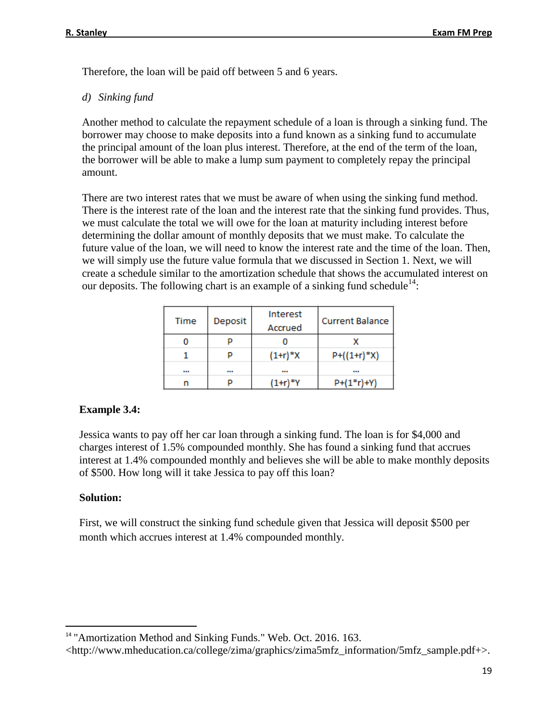Therefore, the loan will be paid off between 5 and 6 years.

*d) Sinking fund*

Another method to calculate the repayment schedule of a loan is through a sinking fund. The borrower may choose to make deposits into a fund known as a sinking fund to accumulate the principal amount of the loan plus interest. Therefore, at the end of the term of the loan, the borrower will be able to make a lump sum payment to completely repay the principal amount.

There are two interest rates that we must be aware of when using the sinking fund method. There is the interest rate of the loan and the interest rate that the sinking fund provides. Thus, we must calculate the total we will owe for the loan at maturity including interest before determining the dollar amount of monthly deposits that we must make. To calculate the future value of the loan, we will need to know the interest rate and the time of the loan. Then, we will simply use the future value formula that we discussed in Section 1. Next, we will create a schedule similar to the amortization schedule that shows the accumulated interest on our deposits. The following chart is an example of a sinking fund schedule<sup>14</sup>:

| <b>Time</b> | Deposit | Interest<br>Accrued | <b>Current Balance</b> |
|-------------|---------|---------------------|------------------------|
|             |         |                     |                        |
|             | P       | $(1+r)*X$           | $P+((1+r)*X)$          |
|             |         |                     |                        |
|             |         |                     | $P+(1*r)+Y)$           |

### **Example 3.4:**

Jessica wants to pay off her car loan through a sinking fund. The loan is for \$4,000 and charges interest of 1.5% compounded monthly. She has found a sinking fund that accrues interest at 1.4% compounded monthly and believes she will be able to make monthly deposits of \$500. How long will it take Jessica to pay off this loan?

### **Solution:**

l

First, we will construct the sinking fund schedule given that Jessica will deposit \$500 per month which accrues interest at 1.4% compounded monthly.

<sup>&</sup>lt;sup>14</sup> "Amortization Method and Sinking Funds." Web. Oct. 2016. 163.

<sup>&</sup>lt;http://www.mheducation.ca/college/zima/graphics/zima5mfz\_information/5mfz\_sample.pdf+>.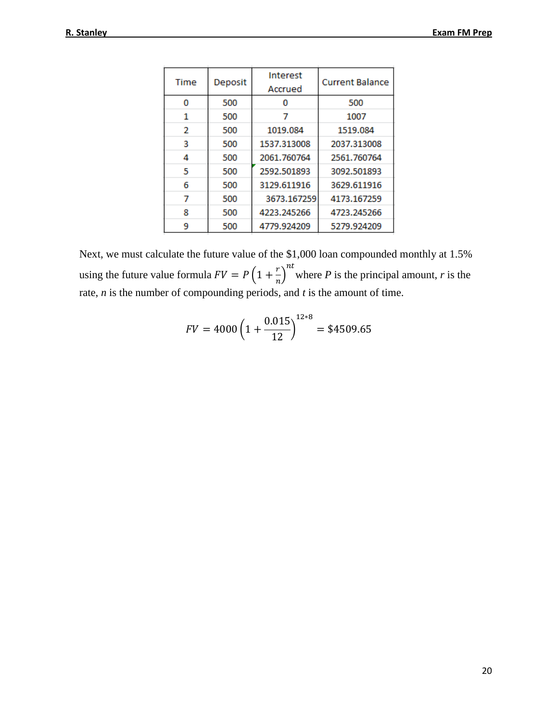| Time | Deposit | <b>Interest</b><br>Accrued | <b>Current Balance</b> |
|------|---------|----------------------------|------------------------|
| o    | 500     |                            | 500                    |
| 1    | 500     |                            | 1007                   |
| 2    | 500     | 1019.084                   | 1519.084               |
| 3    | 500     | 1537.313008                | 2037.313008            |
| 4    | 500     | 2061.760764                | 2561.760764            |
| 5    | 500     | 2592.501893                | 3092.501893            |
| 6    | 500     | 3129.611916                | 3629.611916            |
| 7    | 500     | 3673.167259                | 4173.167259            |
| 8    | 500     | 4223.245266                | 4723.245266            |
| 9    | 500     | 4779.924209                | 5279.924209            |

Next, we must calculate the future value of the \$1,000 loan compounded monthly at 1.5% using the future value formula  $FV = P(1 + \frac{r}{r})$  $\int_{r}^{r}$  where *P* is the principal amount, *r* is the rate, *n* is the number of compounding periods, and *t* is the amount of time.

$$
FV = 4000 \left( 1 + \frac{0.015}{12} \right)^{12*8} = $4509.65
$$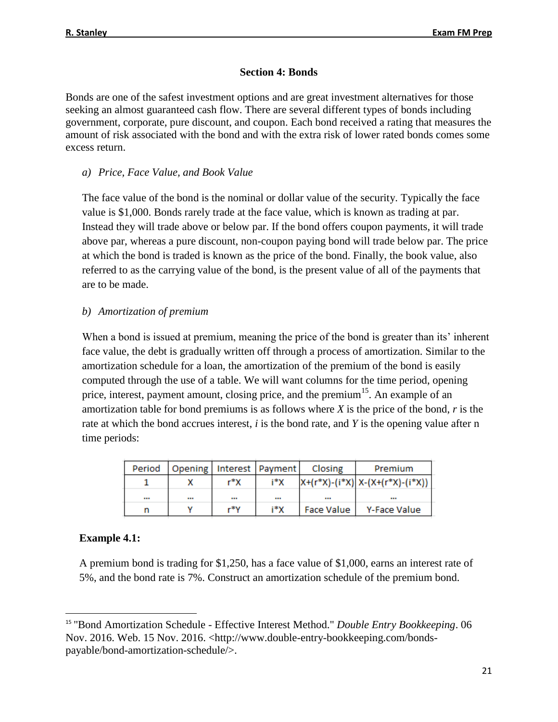### **Section 4: Bonds**

Bonds are one of the safest investment options and are great investment alternatives for those seeking an almost guaranteed cash flow. There are several different types of bonds including government, corporate, pure discount, and coupon. Each bond received a rating that measures the amount of risk associated with the bond and with the extra risk of lower rated bonds comes some excess return.

*a) Price, Face Value, and Book Value*

The face value of the bond is the nominal or dollar value of the security. Typically the face value is \$1,000. Bonds rarely trade at the face value, which is known as trading at par. Instead they will trade above or below par. If the bond offers coupon payments, it will trade above par, whereas a pure discount, non-coupon paying bond will trade below par. The price at which the bond is traded is known as the price of the bond. Finally, the book value, also referred to as the carrying value of the bond, is the present value of all of the payments that are to be made.

### *b) Amortization of premium*

When a bond is issued at premium, meaning the price of the bond is greater than its' inherent face value, the debt is gradually written off through a process of amortization. Similar to the amortization schedule for a loan, the amortization of the premium of the bond is easily computed through the use of a table. We will want columns for the time period, opening price, interest, payment amount, closing price, and the premium<sup>15</sup>. An example of an amortization table for bond premiums is as follows where *X* is the price of the bond, *r* is the rate at which the bond accrues interest, *i* is the bond rate, and *Y* is the opening value after n time periods:

| Period |      | Opening   Interest   Payment | Closing    | Premium                                 |
|--------|------|------------------------------|------------|-----------------------------------------|
|        | r*X  | i*X                          |            | $ X+(r^*X)-(i^*X) X-(X+(r^*X)-(i^*X)) $ |
|        | <br> |                              |            |                                         |
|        | r*V  | i*X                          | Face Value | Y-Face Value                            |

### **Example 4.1:**

 $\overline{\phantom{a}}$ 

A premium bond is trading for \$1,250, has a face value of \$1,000, earns an interest rate of 5%, and the bond rate is 7%. Construct an amortization schedule of the premium bond.

<sup>15</sup> "Bond Amortization Schedule - Effective Interest Method." *Double Entry Bookkeeping*. 06 Nov. 2016. Web. 15 Nov. 2016. <http://www.double-entry-bookkeeping.com/bondspayable/bond-amortization-schedule/>.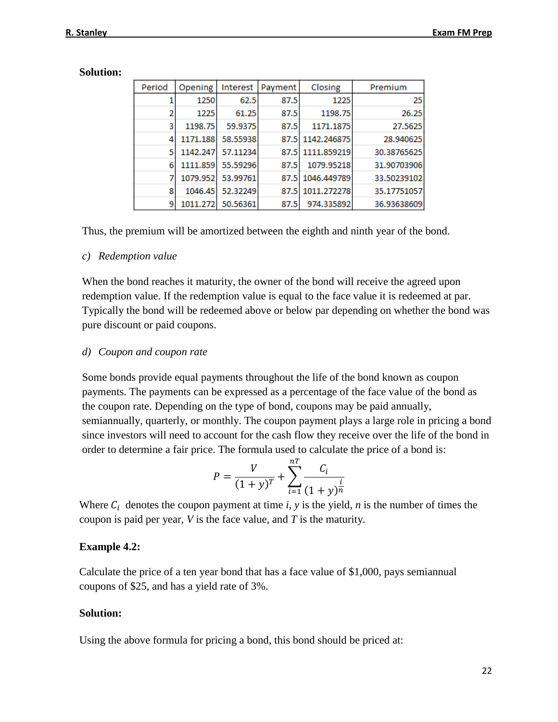| Period | Opening  | Interest | Payment | Closing          | Premium     |
|--------|----------|----------|---------|------------------|-------------|
|        | 1250     | 62.5     | 87.5    | 1225             | 25          |
| 2      | 1225     | 61.25    | 87.5    | 1198.75          | 26.25       |
| 3      | 1198.75  | 59.9375  | 87.5    | 1171.1875        | 27.5625     |
| 4      | 1171.188 | 58.55938 |         | 87.5 1142.246875 | 28.940625   |
| 5      | 1142.247 | 57.11234 |         | 87.5 1111.859219 | 30.38765625 |
| 6      | 1111.859 | 55.59296 | 87.5    | 1079.95218       | 31.90703906 |
|        | 1079.952 | 53.99761 | 87.5    | 1046.449789      | 33.50239102 |
| 8      | 1046.45  | 52.32249 |         | 87.5 1011.272278 | 35.17751057 |
| 9      | 1011.272 | 50.56361 | 87.5    | 974.335892       | 36.93638609 |

#### **Solution:**

Thus, the premium will be amortized between the eighth and ninth year of the bond.

#### *c) Redemption value*

When the bond reaches it maturity, the owner of the bond will receive the agreed upon redemption value. If the redemption value is equal to the face value it is redeemed at par. Typically the bond will be redeemed above or below par depending on whether the bond was pure discount or paid coupons.

#### *d) Coupon and coupon rate*

Some bonds provide equal payments throughout the life of the bond known as coupon payments. The payments can be expressed as a percentage of the face value of the bond as the coupon rate. Depending on the type of bond, coupons may be paid annually, semiannually, quarterly, or monthly. The coupon payment plays a large role in pricing a bond since investors will need to account for the cash flow they receive over the life of the bond in order to determine a fair price. The formula used to calculate the price of a bond is:

$$
P = \frac{V}{(1+y)^{T}} + \sum_{i=1}^{nT} \frac{C_i}{(1+y)^{\frac{i}{n}}}
$$

Where  $C_i$  denotes the coupon payment at time *i*, *y* is the yield, *n* is the number of times the coupon is paid per year, *V* is the face value, and *T* is the maturity.

#### **Example 4.2:**

Calculate the price of a ten year bond that has a face value of \$1,000, pays semiannual coupons of \$25, and has a yield rate of 3%.

#### **Solution:**

Using the above formula for pricing a bond, this bond should be priced at: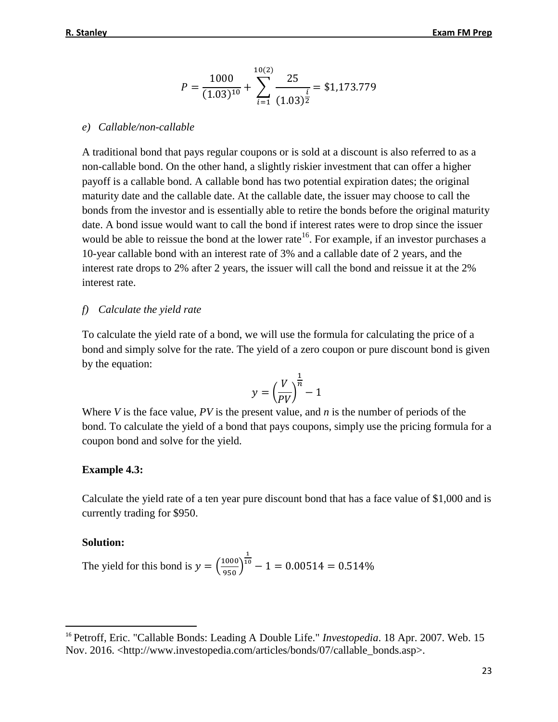$$
P = \frac{1000}{(1.03)^{10}} + \sum_{i=1}^{10(2)} \frac{25}{(1.03)^{\frac{i}{2}}} = $1,173.779
$$

#### *e) Callable/non-callable*

A traditional bond that pays regular coupons or is sold at a discount is also referred to as a non-callable bond. On the other hand, a slightly riskier investment that can offer a higher payoff is a callable bond. A callable bond has two potential expiration dates; the original maturity date and the callable date. At the callable date, the issuer may choose to call the bonds from the investor and is essentially able to retire the bonds before the original maturity date. A bond issue would want to call the bond if interest rates were to drop since the issuer would be able to reissue the bond at the lower rate<sup>16</sup>. For example, if an investor purchases a 10-year callable bond with an interest rate of 3% and a callable date of 2 years, and the interest rate drops to 2% after 2 years, the issuer will call the bond and reissue it at the 2% interest rate.

#### *f) Calculate the yield rate*

To calculate the yield rate of a bond, we will use the formula for calculating the price of a bond and simply solve for the rate. The yield of a zero coupon or pure discount bond is given by the equation:

$$
y = \left(\frac{V}{PV}\right)^{\frac{1}{n}} - 1
$$

Where *V* is the face value, *PV* is the present value, and *n* is the number of periods of the bond. To calculate the yield of a bond that pays coupons, simply use the pricing formula for a coupon bond and solve for the yield.

#### **Example 4.3:**

Calculate the yield rate of a ten year pure discount bond that has a face value of \$1,000 and is currently trading for \$950.

#### **Solution:**

l

The yield for this bond is 
$$
y = \left(\frac{1000}{950}\right)^{\frac{1}{10}} - 1 = 0.00514 = 0.514\%
$$

<sup>16</sup> Petroff, Eric. "Callable Bonds: Leading A Double Life." *Investopedia*. 18 Apr. 2007. Web. 15 Nov. 2016. <http://www.investopedia.com/articles/bonds/07/callable\_bonds.asp>.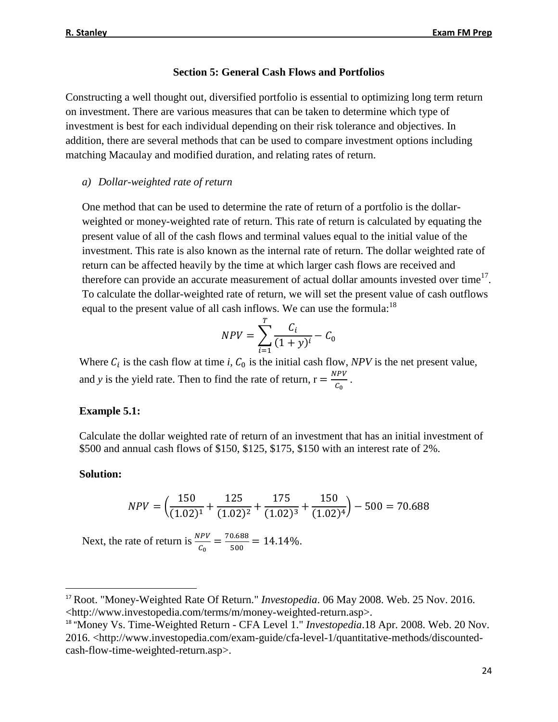#### **Section 5: General Cash Flows and Portfolios**

Constructing a well thought out, diversified portfolio is essential to optimizing long term return on investment. There are various measures that can be taken to determine which type of investment is best for each individual depending on their risk tolerance and objectives. In addition, there are several methods that can be used to compare investment options including matching Macaulay and modified duration, and relating rates of return.

#### *a) Dollar-weighted rate of return*

One method that can be used to determine the rate of return of a portfolio is the dollarweighted or money-weighted rate of return. This rate of return is calculated by equating the present value of all of the cash flows and terminal values equal to the initial value of the investment. This rate is also known as the internal rate of return. The dollar weighted rate of return can be affected heavily by the time at which larger cash flows are received and therefore can provide an accurate measurement of actual dollar amounts invested over time<sup>17</sup>. To calculate the dollar-weighted rate of return, we will set the present value of cash outflows equal to the present value of all cash inflows. We can use the formula:<sup>18</sup>

$$
NPV = \sum_{i=1}^{T} \frac{C_i}{(1+y)^i} - C_0
$$

Where  $C_i$  is the cash flow at time *i*,  $C_0$  is the initial cash flow, *NPV* is the net present value, and *y* is the yield rate. Then to find the rate of return,  $r = \frac{NPV}{C}$  $\frac{C_{\rm F}V}{C_{\rm 0}}$ .

#### **Example 5.1:**

Calculate the dollar weighted rate of return of an investment that has an initial investment of \$500 and annual cash flows of \$150, \$125, \$175, \$150 with an interest rate of 2%.

#### **Solution:**

 $\overline{\phantom{a}}$ 

$$
NPV = \left(\frac{150}{(1.02)^1} + \frac{125}{(1.02)^2} + \frac{175}{(1.02)^3} + \frac{150}{(1.02)^4}\right) - 500 = 70.688
$$

Next, the rate of return is  $\frac{NPV}{C_0} = \frac{70.688}{500}$  $\frac{0.888}{500} = 14.14\%.$ 

<sup>17</sup> Root. "Money-Weighted Rate Of Return." *Investopedia*. 06 May 2008. Web. 25 Nov. 2016. <http://www.investopedia.com/terms/m/money-weighted-return.asp>.

<sup>&</sup>lt;sup>18</sup> "Money Vs. Time-Weighted Return - CFA Level 1." *Investopedia*.18 Apr. 2008. Web. 20 Nov. 2016. <http://www.investopedia.com/exam-guide/cfa-level-1/quantitative-methods/discountedcash-flow-time-weighted-return.asp>.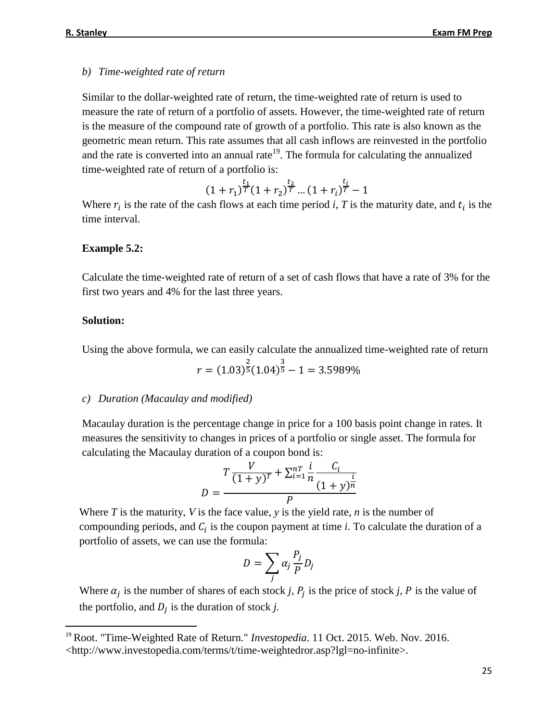#### *b) Time-weighted rate of return*

Similar to the dollar-weighted rate of return, the time-weighted rate of return is used to measure the rate of return of a portfolio of assets. However, the time-weighted rate of return is the measure of the compound rate of growth of a portfolio. This rate is also known as the geometric mean return. This rate assumes that all cash inflows are reinvested in the portfolio and the rate is converted into an annual rate<sup>19</sup>. The formula for calculating the annualized time-weighted rate of return of a portfolio is:

$$
(1+r_1)^{\tfrac{t_1}{T}}(1+r_2)^{\tfrac{t_2}{T}}\ldots(1+r_i)^{\tfrac{t_i}{T}}-1
$$

Where  $r_i$  is the rate of the cash flows at each time period *i*, T is the maturity date, and  $t_i$  is the time interval.

### **Example 5.2:**

Calculate the time-weighted rate of return of a set of cash flows that have a rate of 3% for the first two years and 4% for the last three years.

#### **Solution:**

l

Using the above formula, we can easily calculate the annualized time-weighted rate of return

$$
r = (1.03)^{\frac{2}{5}} (1.04)^{\frac{3}{5}} - 1 = 3.5989\%
$$

#### *c) Duration (Macaulay and modified)*

Macaulay duration is the percentage change in price for a 100 basis point change in rates. It measures the sensitivity to changes in prices of a portfolio or single asset. The formula for calculating the Macaulay duration of a coupon bond is:

$$
D = \frac{T\frac{V}{(1+y)^{T}} + \sum_{i=1}^{nT} \frac{i}{n} \frac{C_i}{(1+y)^{\frac{i}{n}}}}{P}
$$

Where *T* is the maturity, *V* is the face value, *y* is the yield rate, *n* is the number of compounding periods, and  $C_i$  is the coupon payment at time  $i$ . To calculate the duration of a portfolio of assets, we can use the formula:

$$
D = \sum_j \alpha_j \frac{P_j}{P} D_j
$$

Where  $\alpha_j$  is the number of shares of each stock *j*,  $P_j$  is the price of stock *j*,  $P$  is the value of the portfolio, and  $D_j$  is the duration of stock  $j$ .

<sup>&</sup>lt;sup>19</sup> Root. "Time-Weighted Rate of Return." *Investopedia*. 11 Oct. 2015. Web. Nov. 2016. <http://www.investopedia.com/terms/t/time-weightedror.asp?lgl=no-infinite>.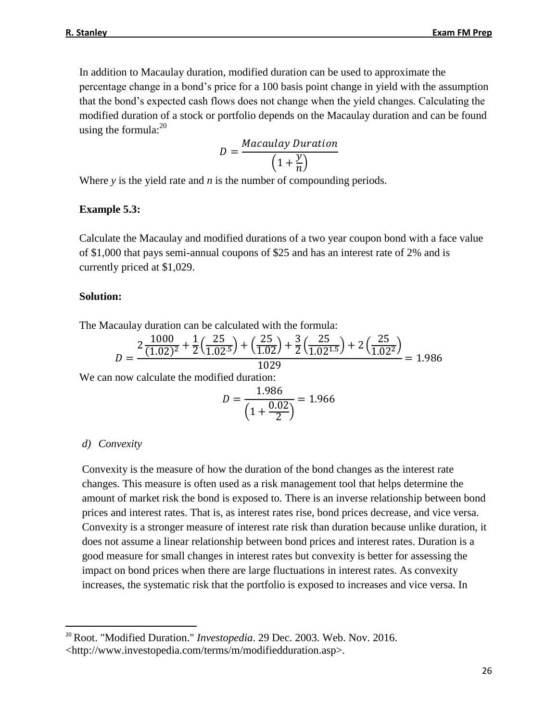In addition to Macaulay duration, modified duration can be used to approximate the percentage change in a bond's price for a 100 basis point change in yield with the assumption that the bond's expected cash flows does not change when the yield changes. Calculating the modified duration of a stock or portfolio depends on the Macaulay duration and can be found using the formula: $^{20}$ 

$$
D = \frac{Macaulay \;Duration}{\left(1 + \frac{y}{n}\right)}
$$

Where *y* is the yield rate and *n* is the number of compounding periods.

#### **Example 5.3:**

Calculate the Macaulay and modified durations of a two year coupon bond with a face value of \$1,000 that pays semi-annual coupons of \$25 and has an interest rate of 2% and is currently priced at \$1,029.

### **Solution:**

The Macaulay duration can be calculated with the formula:

$$
D = \frac{2\frac{1000}{(1.02)^2} + \frac{1}{2}\left(\frac{25}{1.02^5}\right) + \left(\frac{25}{1.02}\right) + \frac{3}{2}\left(\frac{25}{1.02^{1.5}}\right) + 2\left(\frac{25}{1.02^2}\right)}{1029} = 1.986
$$

We can now calculate the modified duration:

$$
D = \frac{1.986}{\left(1 + \frac{0.02}{2}\right)} = 1.966
$$

### *d) Convexity*

l

Convexity is the measure of how the duration of the bond changes as the interest rate changes. This measure is often used as a risk management tool that helps determine the amount of market risk the bond is exposed to. There is an inverse relationship between bond prices and interest rates. That is, as interest rates rise, bond prices decrease, and vice versa. Convexity is a stronger measure of interest rate risk than duration because unlike duration, it does not assume a linear relationship between bond prices and interest rates. Duration is a good measure for small changes in interest rates but convexity is better for assessing the impact on bond prices when there are large fluctuations in interest rates. As convexity increases, the systematic risk that the portfolio is exposed to increases and vice versa. In

<sup>&</sup>lt;sup>20</sup> Root. "Modified Duration." *Investopedia*. 29 Dec. 2003. Web. Nov. 2016. <http://www.investopedia.com/terms/m/modifiedduration.asp>.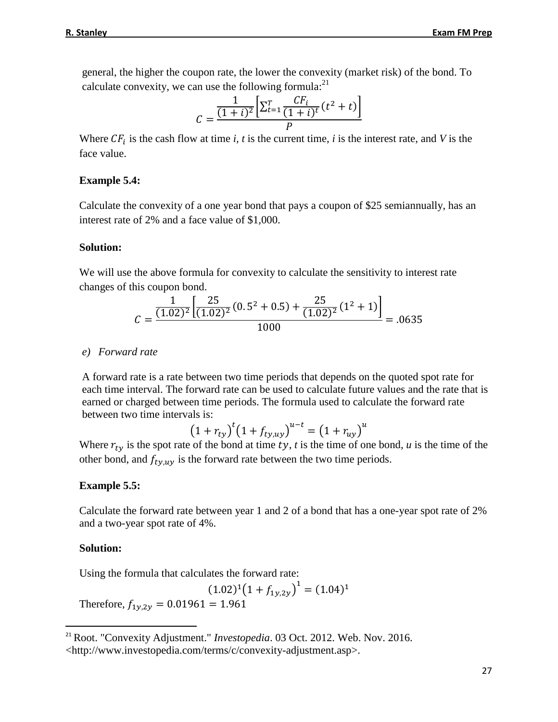general, the higher the coupon rate, the lower the convexity (market risk) of the bond. To calculate convexity, we can use the following formula: $^{21}$ 

$$
C = \frac{\frac{1}{(1+i)^2} \left[ \sum_{t=1}^{T} \frac{CF_i}{(1+i)^t} (t^2 + t) \right]}{P}
$$

Where  $CF_i$  is the cash flow at time *i*, *t* is the current time, *i* is the interest rate, and *V* is the face value.

#### **Example 5.4:**

Calculate the convexity of a one year bond that pays a coupon of \$25 semiannually, has an interest rate of 2% and a face value of \$1,000.

#### **Solution:**

We will use the above formula for convexity to calculate the sensitivity to interest rate changes of this coupon bond.

$$
C = \frac{\frac{1}{(1.02)^2} \left[ \frac{25}{(1.02)^2} (0.5^2 + 0.5) + \frac{25}{(1.02)^2} (1^2 + 1) \right]}{1000} = .0635
$$

#### *e) Forward rate*

A forward rate is a rate between two time periods that depends on the quoted spot rate for each time interval. The forward rate can be used to calculate future values and the rate that is earned or charged between time periods. The formula used to calculate the forward rate between two time intervals is:

$$
(1 + r_{ty})^t (1 + f_{ty,uy})^{u-t} = (1 + r_{uy})^u
$$

Where  $r_{t\nu}$  is the spot rate of the bond at time ty, t is the time of one bond, u is the time of the other bond, and  $f_{ty,uy}$  is the forward rate between the two time periods.

#### **Example 5.5:**

Calculate the forward rate between year 1 and 2 of a bond that has a one-year spot rate of 2% and a two-year spot rate of 4%.

#### **Solution:**

l

Using the formula that calculates the forward rate:

 $(1.02)^{1}(1+f_{1y,2y})^{1} = (1.04)^{1}$ 

Therefore,  $f_{1v,2v} = 0.01961 = 1.961$ 

<sup>21</sup> Root. "Convexity Adjustment." *Investopedia*. 03 Oct. 2012. Web. Nov. 2016. <http://www.investopedia.com/terms/c/convexity-adjustment.asp>.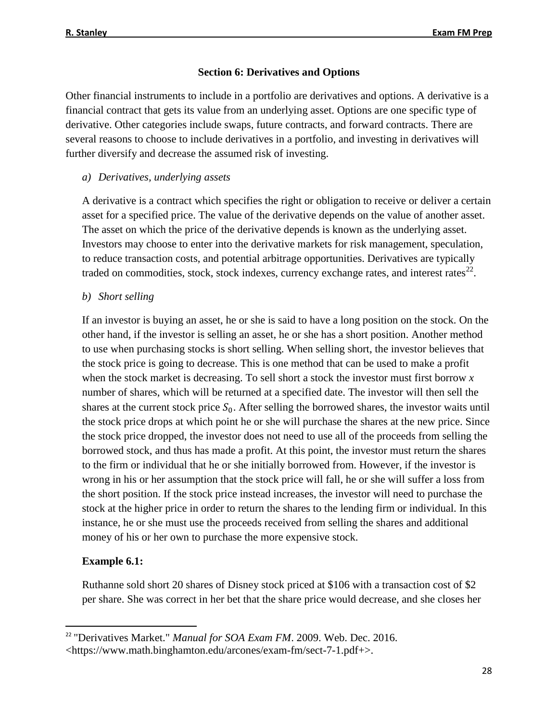### **Section 6: Derivatives and Options**

Other financial instruments to include in a portfolio are derivatives and options. A derivative is a financial contract that gets its value from an underlying asset. Options are one specific type of derivative. Other categories include swaps, future contracts, and forward contracts. There are several reasons to choose to include derivatives in a portfolio, and investing in derivatives will further diversify and decrease the assumed risk of investing.

### *a) Derivatives, underlying assets*

A derivative is a contract which specifies the right or obligation to receive or deliver a certain asset for a specified price. The value of the derivative depends on the value of another asset. The asset on which the price of the derivative depends is known as the underlying asset. Investors may choose to enter into the derivative markets for risk management, speculation, to reduce transaction costs, and potential arbitrage opportunities. Derivatives are typically traded on commodities, stock, stock indexes, currency exchange rates, and interest rates<sup>22</sup>.

### *b) Short selling*

If an investor is buying an asset, he or she is said to have a long position on the stock. On the other hand, if the investor is selling an asset, he or she has a short position. Another method to use when purchasing stocks is short selling. When selling short, the investor believes that the stock price is going to decrease. This is one method that can be used to make a profit when the stock market is decreasing. To sell short a stock the investor must first borrow *x*  number of shares, which will be returned at a specified date. The investor will then sell the shares at the current stock price  $S_0$ . After selling the borrowed shares, the investor waits until the stock price drops at which point he or she will purchase the shares at the new price. Since the stock price dropped, the investor does not need to use all of the proceeds from selling the borrowed stock, and thus has made a profit. At this point, the investor must return the shares to the firm or individual that he or she initially borrowed from. However, if the investor is wrong in his or her assumption that the stock price will fall, he or she will suffer a loss from the short position. If the stock price instead increases, the investor will need to purchase the stock at the higher price in order to return the shares to the lending firm or individual. In this instance, he or she must use the proceeds received from selling the shares and additional money of his or her own to purchase the more expensive stock.

### **Example 6.1:**

l

Ruthanne sold short 20 shares of Disney stock priced at \$106 with a transaction cost of \$2 per share. She was correct in her bet that the share price would decrease, and she closes her

<sup>&</sup>lt;sup>22</sup> "Derivatives Market." *Manual for SOA Exam FM*. 2009. Web. Dec. 2016. <https://www.math.binghamton.edu/arcones/exam-fm/sect-7-1.pdf+>.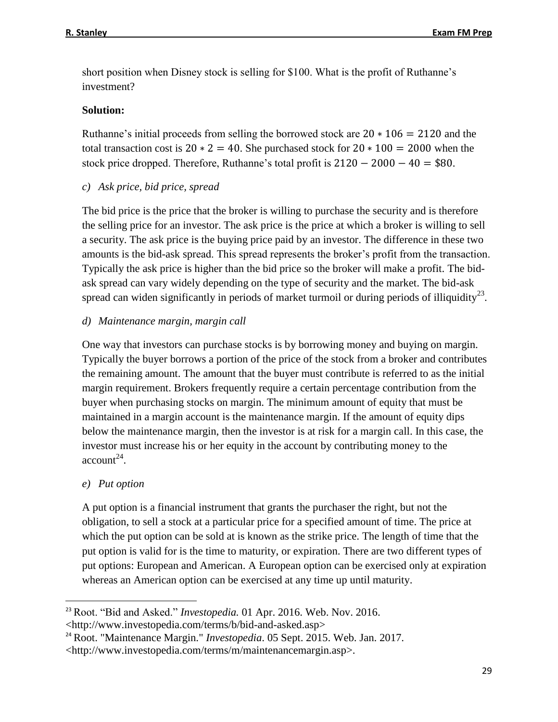short position when Disney stock is selling for \$100. What is the profit of Ruthanne's investment?

### **Solution:**

Ruthanne's initial proceeds from selling the borrowed stock are  $20 * 106 = 2120$  and the total transaction cost is  $20 * 2 = 40$ . She purchased stock for  $20 * 100 = 2000$  when the stock price dropped. Therefore, Ruthanne's total profit is  $2120 - 2000 - 40 = $80$ .

*c) Ask price, bid price, spread*

The bid price is the price that the broker is willing to purchase the security and is therefore the selling price for an investor. The ask price is the price at which a broker is willing to sell a security. The ask price is the buying price paid by an investor. The difference in these two amounts is the bid-ask spread. This spread represents the broker's profit from the transaction. Typically the ask price is higher than the bid price so the broker will make a profit. The bidask spread can vary widely depending on the type of security and the market. The bid-ask spread can widen significantly in periods of market turmoil or during periods of illiquidity<sup>23</sup>.

### *d) Maintenance margin, margin call*

One way that investors can purchase stocks is by borrowing money and buying on margin. Typically the buyer borrows a portion of the price of the stock from a broker and contributes the remaining amount. The amount that the buyer must contribute is referred to as the initial margin requirement. Brokers frequently require a certain percentage contribution from the buyer when purchasing stocks on margin. The minimum amount of equity that must be maintained in a margin account is the maintenance margin. If the amount of equity dips below the maintenance margin, then the investor is at risk for a margin call. In this case, the investor must increase his or her equity in the account by contributing money to the  $account^{24}$ .

### *e) Put option*

 $\overline{\phantom{a}}$ 

A put option is a financial instrument that grants the purchaser the right, but not the obligation, to sell a stock at a particular price for a specified amount of time. The price at which the put option can be sold at is known as the strike price. The length of time that the put option is valid for is the time to maturity, or expiration. There are two different types of put options: European and American. A European option can be exercised only at expiration whereas an American option can be exercised at any time up until maturity.

<sup>23</sup> Root. "Bid and Asked." *Investopedia.* 01 Apr. 2016. Web. Nov. 2016.

[<sup>&</sup>lt;http://www.investopedia.com/terms/b/bid-and-asked.asp>](http://www.investopedia.com/terms/b/bid-and-asked.asp)

<sup>24</sup> Root. "Maintenance Margin." *Investopedia*. 05 Sept. 2015. Web. Jan. 2017. <http://www.investopedia.com/terms/m/maintenancemargin.asp>.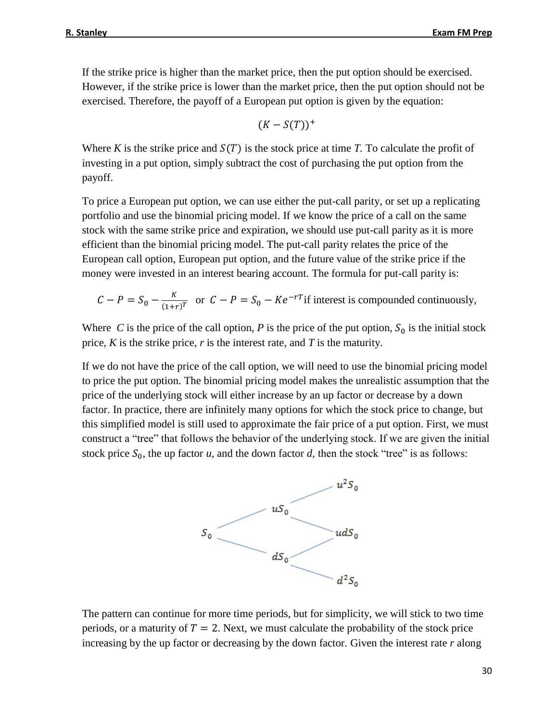If the strike price is higher than the market price, then the put option should be exercised. However, if the strike price is lower than the market price, then the put option should not be exercised. Therefore, the payoff of a European put option is given by the equation:

$$
(K-S(T))^+
$$

Where K is the strike price and  $S(T)$  is the stock price at time T. To calculate the profit of investing in a put option, simply subtract the cost of purchasing the put option from the payoff.

To price a European put option, we can use either the put-call parity, or set up a replicating portfolio and use the binomial pricing model. If we know the price of a call on the same stock with the same strike price and expiration, we should use put-call parity as it is more efficient than the binomial pricing model. The put-call parity relates the price of the European call option, European put option, and the future value of the strike price if the money were invested in an interest bearing account. The formula for put-call parity is:

$$
C - P = S_0 - \frac{K}{(1+r)^T}
$$
 or  $C - P = S_0 - Ke^{-rT}$  if interest is compounded continuously,

Where *C* is the price of the call option, *P* is the price of the put option,  $S_0$  is the initial stock price, *K* is the strike price, *r* is the interest rate, and *T* is the maturity.

If we do not have the price of the call option, we will need to use the binomial pricing model to price the put option. The binomial pricing model makes the unrealistic assumption that the price of the underlying stock will either increase by an up factor or decrease by a down factor. In practice, there are infinitely many options for which the stock price to change, but this simplified model is still used to approximate the fair price of a put option. First, we must construct a "tree" that follows the behavior of the underlying stock. If we are given the initial stock price  $S_0$ , the up factor *u*, and the down factor *d*, then the stock "tree" is as follows:



The pattern can continue for more time periods, but for simplicity, we will stick to two time periods, or a maturity of  $T = 2$ . Next, we must calculate the probability of the stock price increasing by the up factor or decreasing by the down factor. Given the interest rate *r* along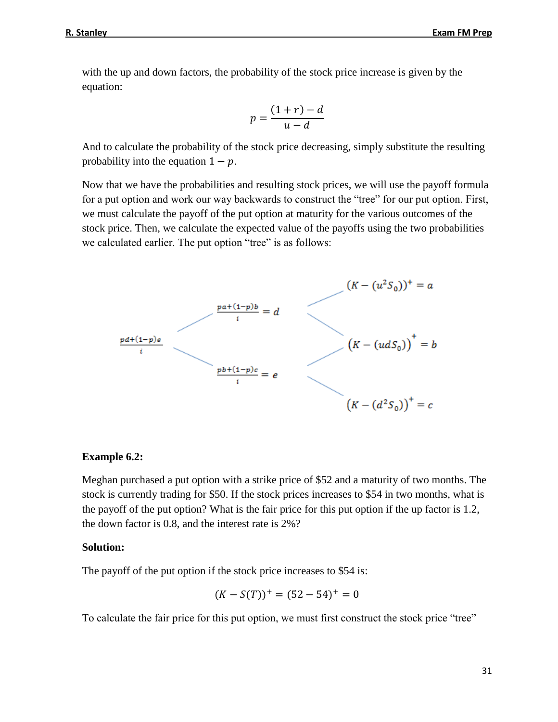with the up and down factors, the probability of the stock price increase is given by the equation:

$$
p = \frac{(1+r)-d}{u-d}
$$

And to calculate the probability of the stock price decreasing, simply substitute the resulting probability into the equation  $1 - p$ .

Now that we have the probabilities and resulting stock prices, we will use the payoff formula for a put option and work our way backwards to construct the "tree" for our put option. First, we must calculate the payoff of the put option at maturity for the various outcomes of the stock price. Then, we calculate the expected value of the payoffs using the two probabilities we calculated earlier. The put option "tree" is as follows:



### **Example 6.2:**

Meghan purchased a put option with a strike price of \$52 and a maturity of two months. The stock is currently trading for \$50. If the stock prices increases to \$54 in two months, what is the payoff of the put option? What is the fair price for this put option if the up factor is 1.2, the down factor is 0.8, and the interest rate is 2%?

### **Solution:**

The payoff of the put option if the stock price increases to \$54 is:

$$
(K - S(T))^{+} = (52 - 54)^{+} = 0
$$

To calculate the fair price for this put option, we must first construct the stock price "tree"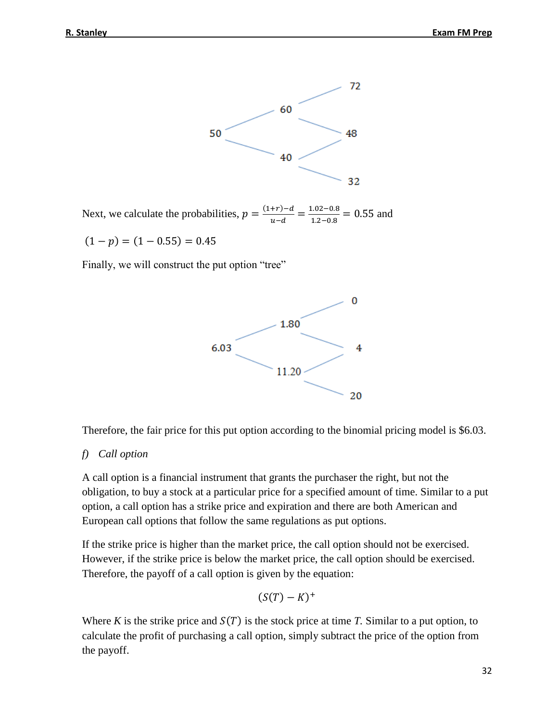

Next, we calculate the probabilities,  $p = \frac{(1+r)-d}{n}$  $\frac{(-+r)-d}{u-d} = \frac{1.02-0.8}{1.2-0.8}$  $\frac{1.02 - 0.8}{1.2 - 0.8} = 0.55$  and

 $(1 - p) = (1 - 0.55) = 0.45$ 

Finally, we will construct the put option "tree"



Therefore, the fair price for this put option according to the binomial pricing model is \$6.03.

### *f) Call option*

A call option is a financial instrument that grants the purchaser the right, but not the obligation, to buy a stock at a particular price for a specified amount of time. Similar to a put option, a call option has a strike price and expiration and there are both American and European call options that follow the same regulations as put options.

If the strike price is higher than the market price, the call option should not be exercised. However, if the strike price is below the market price, the call option should be exercised. Therefore, the payoff of a call option is given by the equation:

$$
(S(T)-K)^+
$$

Where *K* is the strike price and  $S(T)$  is the stock price at time *T*. Similar to a put option, to calculate the profit of purchasing a call option, simply subtract the price of the option from the payoff.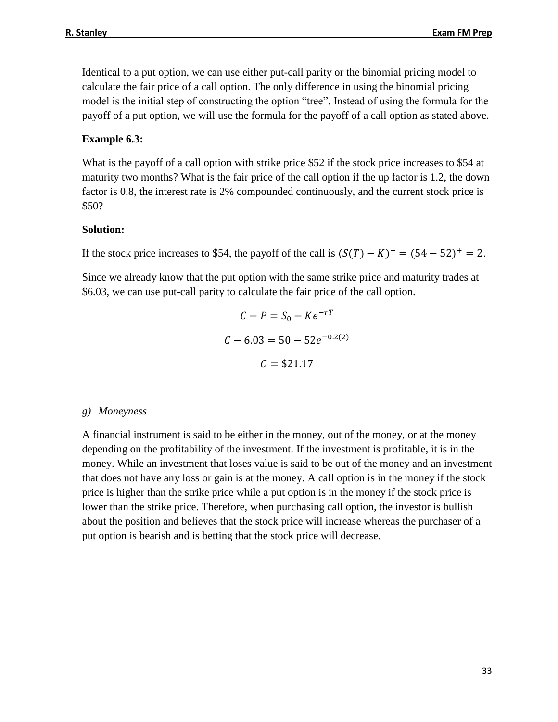Identical to a put option, we can use either put-call parity or the binomial pricing model to calculate the fair price of a call option. The only difference in using the binomial pricing model is the initial step of constructing the option "tree". Instead of using the formula for the payoff of a put option, we will use the formula for the payoff of a call option as stated above.

### **Example 6.3:**

What is the payoff of a call option with strike price \$52 if the stock price increases to \$54 at maturity two months? What is the fair price of the call option if the up factor is 1.2, the down factor is 0.8, the interest rate is 2% compounded continuously, and the current stock price is \$50?

### **Solution:**

If the stock price increases to \$54, the payoff of the call is  $(S(T) - K)^+ = (54 - 52)^+ = 2$ .

Since we already know that the put option with the same strike price and maturity trades at \$6.03, we can use put-call parity to calculate the fair price of the call option.

$$
C - P = S_0 - Ke^{-rT}
$$

$$
C - 6.03 = 50 - 52e^{-0.2(2)}
$$

$$
C = $21.17
$$

#### *g) Moneyness*

A financial instrument is said to be either in the money, out of the money, or at the money depending on the profitability of the investment. If the investment is profitable, it is in the money. While an investment that loses value is said to be out of the money and an investment that does not have any loss or gain is at the money. A call option is in the money if the stock price is higher than the strike price while a put option is in the money if the stock price is lower than the strike price. Therefore, when purchasing call option, the investor is bullish about the position and believes that the stock price will increase whereas the purchaser of a put option is bearish and is betting that the stock price will decrease.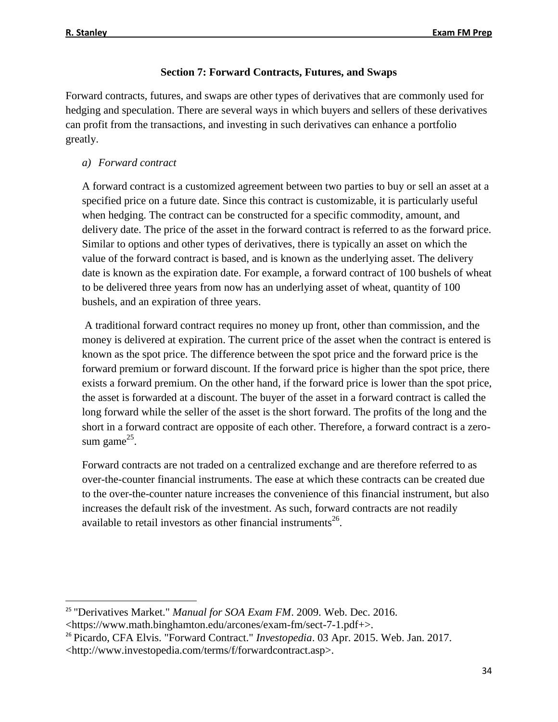$\overline{\phantom{a}}$ 

### **Section 7: Forward Contracts, Futures, and Swaps**

Forward contracts, futures, and swaps are other types of derivatives that are commonly used for hedging and speculation. There are several ways in which buyers and sellers of these derivatives can profit from the transactions, and investing in such derivatives can enhance a portfolio greatly.

### *a) Forward contract*

A forward contract is a customized agreement between two parties to buy or sell an asset at a specified price on a future date. Since this contract is customizable, it is particularly useful when hedging. The contract can be constructed for a specific commodity, amount, and delivery date. The price of the asset in the forward contract is referred to as the forward price. Similar to options and other types of derivatives, there is typically an asset on which the value of the forward contract is based, and is known as the underlying asset. The delivery date is known as the expiration date. For example, a forward contract of 100 bushels of wheat to be delivered three years from now has an underlying asset of wheat, quantity of 100 bushels, and an expiration of three years.

A traditional forward contract requires no money up front, other than commission, and the money is delivered at expiration. The current price of the asset when the contract is entered is known as the spot price. The difference between the spot price and the forward price is the forward premium or forward discount. If the forward price is higher than the spot price, there exists a forward premium. On the other hand, if the forward price is lower than the spot price, the asset is forwarded at a discount. The buyer of the asset in a forward contract is called the long forward while the seller of the asset is the short forward. The profits of the long and the short in a forward contract are opposite of each other. Therefore, a forward contract is a zerosum game $^{25}$ .

Forward contracts are not traded on a centralized exchange and are therefore referred to as over-the-counter financial instruments. The ease at which these contracts can be created due to the over-the-counter nature increases the convenience of this financial instrument, but also increases the default risk of the investment. As such, forward contracts are not readily available to retail investors as other financial instruments<sup>26</sup>.

<sup>&</sup>lt;sup>25</sup> "Derivatives Market." *Manual for SOA Exam FM*. 2009. Web. Dec. 2016.

<sup>&</sup>lt;https://www.math.binghamton.edu/arcones/exam-fm/sect-7-1.pdf+>.

<sup>26</sup> Picardo, CFA Elvis. "Forward Contract." *Investopedia*. 03 Apr. 2015. Web. Jan. 2017. <http://www.investopedia.com/terms/f/forwardcontract.asp>.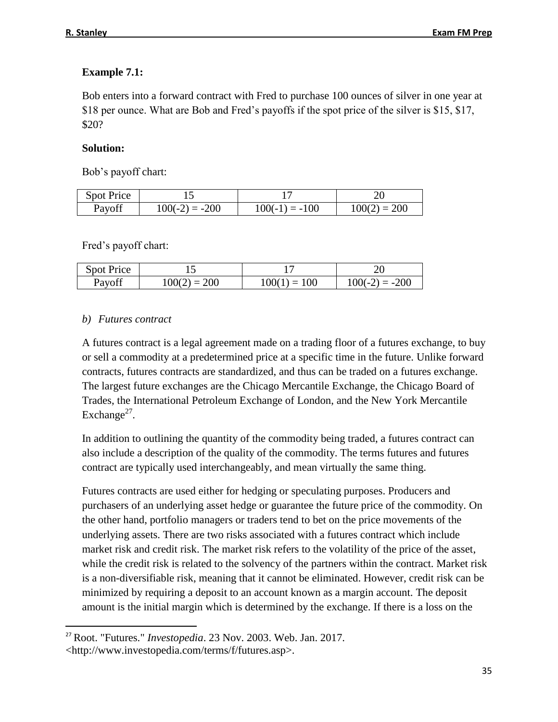### **Example 7.1:**

Bob enters into a forward contract with Fred to purchase 100 ounces of silver in one year at \$18 per ounce. What are Bob and Fred's payoffs if the spot price of the silver is \$15, \$17, \$20?

### **Solution:**

Bob's payoff chart:

| <b>Spot Price</b> |                  |                  |                |
|-------------------|------------------|------------------|----------------|
| Payoff            | $100(-2) = -200$ | $100(-1) = -100$ | $100(2) = 200$ |

Fred's payoff chart:

| <b>Spot Price</b> |                |                |                  |
|-------------------|----------------|----------------|------------------|
| Payoff            | $100(2) = 200$ | $100(1) = 100$ | $100(-2) = -200$ |

### *b) Futures contract*

A futures contract is a legal agreement made on a trading floor of a futures exchange, to buy or sell a commodity at a predetermined price at a specific time in the future. Unlike forward contracts, futures contracts are standardized, and thus can be traded on a futures exchange. The largest future exchanges are the Chicago Mercantile Exchange, the Chicago Board of Trades, the International Petroleum Exchange of London, and the New York Mercantile Exchange $2^7$ .

In addition to outlining the quantity of the commodity being traded, a futures contract can also include a description of the quality of the commodity. The terms futures and futures contract are typically used interchangeably, and mean virtually the same thing.

Futures contracts are used either for hedging or speculating purposes. Producers and purchasers of an underlying asset hedge or guarantee the future price of the commodity. On the other hand, portfolio managers or traders tend to bet on the price movements of the underlying assets. There are two risks associated with a futures contract which include market risk and credit risk. The market risk refers to the volatility of the price of the asset, while the credit risk is related to the solvency of the partners within the contract. Market risk is a non-diversifiable risk, meaning that it cannot be eliminated. However, credit risk can be minimized by requiring a deposit to an account known as a margin account. The deposit amount is the initial margin which is determined by the exchange. If there is a loss on the

l <sup>27</sup> Root. "Futures." *Investopedia*. 23 Nov. 2003. Web. Jan. 2017. <http://www.investopedia.com/terms/f/futures.asp>.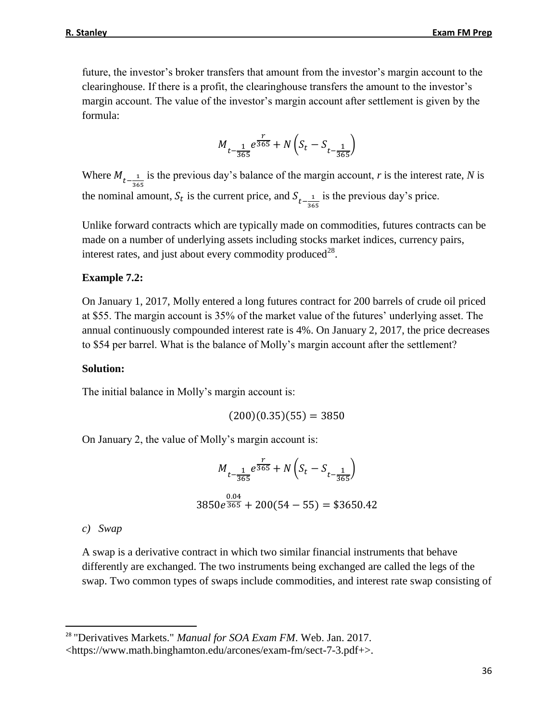future, the investor's broker transfers that amount from the investor's margin account to the clearinghouse. If there is a profit, the clearinghouse transfers the amount to the investor's margin account. The value of the investor's margin account after settlement is given by the formula:

$$
M_{t-\frac{1}{365}}e^{\frac{r}{365}}+N\left(S_{t}-S_{t-\frac{1}{365}}\right)
$$

Where  $M_{t-\frac{1}{26}}$ 365 is the previous day's balance of the margin account, *r* is the interest rate, *N* is the nominal amount,  $S_t$  is the current price, and  $S_{t-\frac{1}{2}}$ 365 is the previous day's price.

Unlike forward contracts which are typically made on commodities, futures contracts can be made on a number of underlying assets including stocks market indices, currency pairs, interest rates, and just about every commodity produced<sup>28</sup>.

### **Example 7.2:**

On January 1, 2017, Molly entered a long futures contract for 200 barrels of crude oil priced at \$55. The margin account is 35% of the market value of the futures' underlying asset. The annual continuously compounded interest rate is 4%. On January 2, 2017, the price decreases to \$54 per barrel. What is the balance of Molly's margin account after the settlement?

### **Solution:**

The initial balance in Molly's margin account is:

$$
(200)(0.35)(55) = 3850
$$

On January 2, the value of Molly's margin account is:

$$
M_{t-\frac{1}{365}}e^{\frac{r}{365}} + N\left(S_t - S_{t-\frac{1}{365}}\right)
$$
  
3850e^{\frac{0.04}{365}} + 200(54 - 55) = \$3650.42

*c) Swap*

l

A swap is a derivative contract in which two similar financial instruments that behave differently are exchanged. The two instruments being exchanged are called the legs of the swap. Two common types of swaps include commodities, and interest rate swap consisting of

<sup>28</sup> "Derivatives Markets." *Manual for SOA Exam FM*. Web. Jan. 2017.

<sup>&</sup>lt;https://www.math.binghamton.edu/arcones/exam-fm/sect-7-3.pdf+>.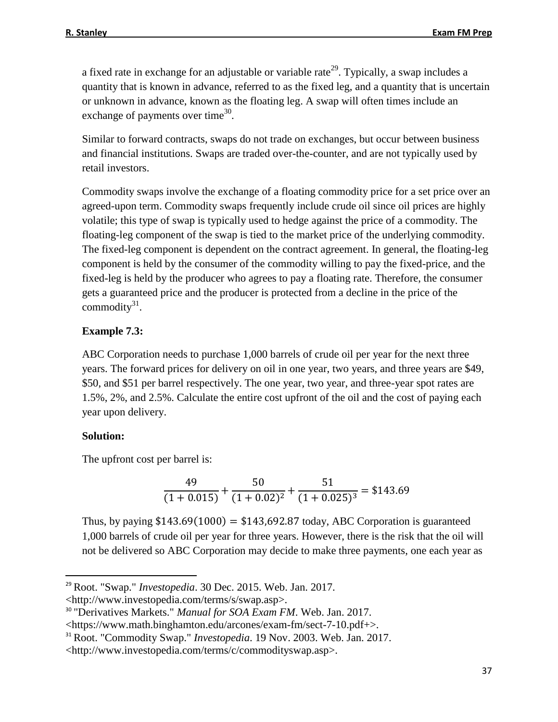a fixed rate in exchange for an adjustable or variable rate<sup>29</sup>. Typically, a swap includes a quantity that is known in advance, referred to as the fixed leg, and a quantity that is uncertain or unknown in advance, known as the floating leg. A swap will often times include an exchange of payments over time<sup>30</sup>.

Similar to forward contracts, swaps do not trade on exchanges, but occur between business and financial institutions. Swaps are traded over-the-counter, and are not typically used by retail investors.

Commodity swaps involve the exchange of a floating commodity price for a set price over an agreed-upon term. Commodity swaps frequently include crude oil since oil prices are highly volatile; this type of swap is typically used to hedge against the price of a commodity. The floating-leg component of the swap is tied to the market price of the underlying commodity. The fixed-leg component is dependent on the contract agreement. In general, the floating-leg component is held by the consumer of the commodity willing to pay the fixed-price, and the fixed-leg is held by the producer who agrees to pay a floating rate. Therefore, the consumer gets a guaranteed price and the producer is protected from a decline in the price of the commodity $31$ .

### **Example 7.3:**

ABC Corporation needs to purchase 1,000 barrels of crude oil per year for the next three years. The forward prices for delivery on oil in one year, two years, and three years are \$49, \$50, and \$51 per barrel respectively. The one year, two year, and three-year spot rates are 1.5%, 2%, and 2.5%. Calculate the entire cost upfront of the oil and the cost of paying each year upon delivery.

### **Solution:**

 $\overline{\phantom{a}}$ 

The upfront cost per barrel is:

$$
\frac{49}{(1+0.015)} + \frac{50}{(1+0.02)^2} + \frac{51}{(1+0.025)^3} = $143.69
$$

Thus, by paying  $$143.69(1000) = $143,692.87$  today, ABC Corporation is guaranteed 1,000 barrels of crude oil per year for three years. However, there is the risk that the oil will not be delivered so ABC Corporation may decide to make three payments, one each year as

<sup>29</sup> Root. "Swap." *Investopedia*. 30 Dec. 2015. Web. Jan. 2017.

<sup>&</sup>lt;http://www.investopedia.com/terms/s/swap.asp>.

<sup>30</sup> "Derivatives Markets." *Manual for SOA Exam FM*. Web. Jan. 2017.

<sup>&</sup>lt;https://www.math.binghamton.edu/arcones/exam-fm/sect-7-10.pdf+>.

<sup>31</sup> Root. "Commodity Swap." *Investopedia*. 19 Nov. 2003. Web. Jan. 2017.

<sup>&</sup>lt;http://www.investopedia.com/terms/c/commodityswap.asp>.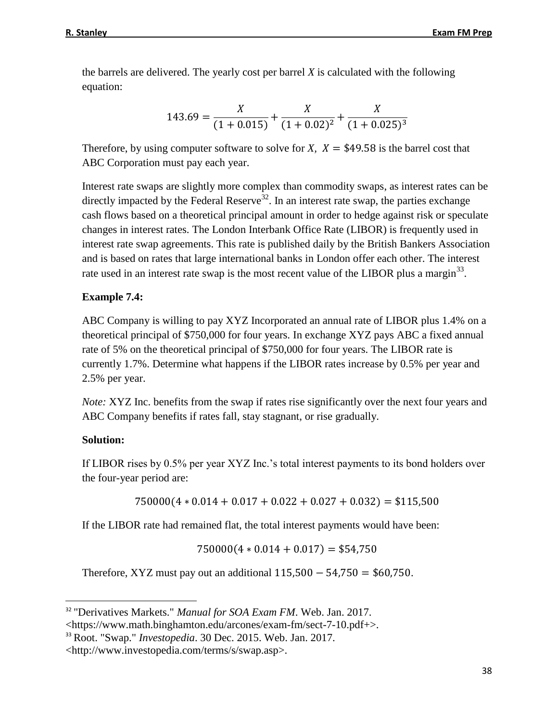the barrels are delivered. The yearly cost per barrel *X* is calculated with the following equation:

$$
143.69 = \frac{X}{(1+0.015)} + \frac{X}{(1+0.02)^2} + \frac{X}{(1+0.025)^3}
$$

Therefore, by using computer software to solve for *X*,  $X = $49.58$  is the barrel cost that ABC Corporation must pay each year.

Interest rate swaps are slightly more complex than commodity swaps, as interest rates can be directly impacted by the Federal Reserve<sup>32</sup>. In an interest rate swap, the parties exchange cash flows based on a theoretical principal amount in order to hedge against risk or speculate changes in interest rates. The London Interbank Office Rate (LIBOR) is frequently used in interest rate swap agreements. This rate is published daily by the British Bankers Association and is based on rates that large international banks in London offer each other. The interest rate used in an interest rate swap is the most recent value of the LIBOR plus a margin<sup>33</sup>.

### **Example 7.4:**

ABC Company is willing to pay XYZ Incorporated an annual rate of LIBOR plus 1.4% on a theoretical principal of \$750,000 for four years. In exchange XYZ pays ABC a fixed annual rate of 5% on the theoretical principal of \$750,000 for four years. The LIBOR rate is currently 1.7%. Determine what happens if the LIBOR rates increase by 0.5% per year and 2.5% per year.

*Note:* XYZ Inc. benefits from the swap if rates rise significantly over the next four years and ABC Company benefits if rates fall, stay stagnant, or rise gradually.

### **Solution:**

 $\overline{\phantom{a}}$ 

If LIBOR rises by 0.5% per year XYZ Inc.'s total interest payments to its bond holders over the four-year period are:

 $750000(4 * 0.014 + 0.017 + 0.022 + 0.027 + 0.032) = $115,500$ 

If the LIBOR rate had remained flat, the total interest payments would have been:

 $750000(4 * 0.014 + 0.017) = $54,750$ 

Therefore, XYZ must pay out an additional  $115,500 - 54,750 = $60,750$ .

<sup>&</sup>lt;sup>32</sup> "Derivatives Markets." *Manual for SOA Exam FM*. Web. Jan. 2017.

<sup>&</sup>lt;https://www.math.binghamton.edu/arcones/exam-fm/sect-7-10.pdf+>.

<sup>33</sup> Root. "Swap." *Investopedia*. 30 Dec. 2015. Web. Jan. 2017.

<sup>&</sup>lt;http://www.investopedia.com/terms/s/swap.asp>.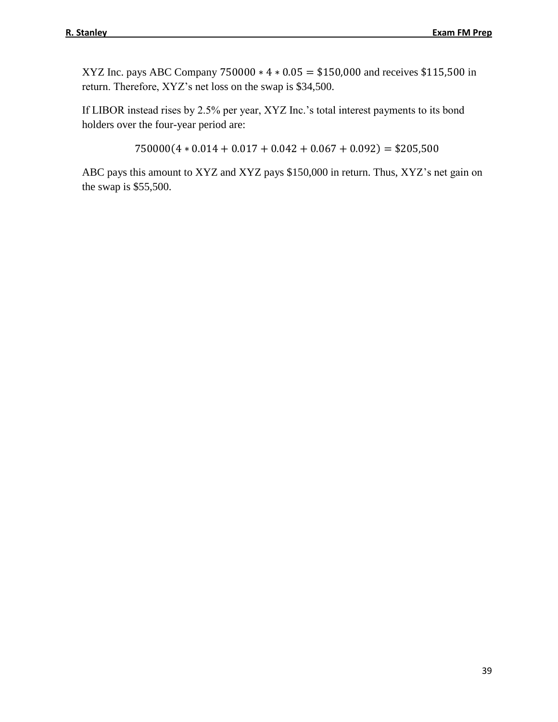XYZ Inc. pays ABC Company 750000 ∗ 4 ∗ 0.05 = \$150,000 and receives \$115,500 in return. Therefore, XYZ's net loss on the swap is \$34,500.

If LIBOR instead rises by 2.5% per year, XYZ Inc.'s total interest payments to its bond holders over the four-year period are:

 $750000(4 * 0.014 + 0.017 + 0.042 + 0.067 + 0.092) = $205,500$ 

ABC pays this amount to XYZ and XYZ pays \$150,000 in return. Thus, XYZ's net gain on the swap is \$55,500.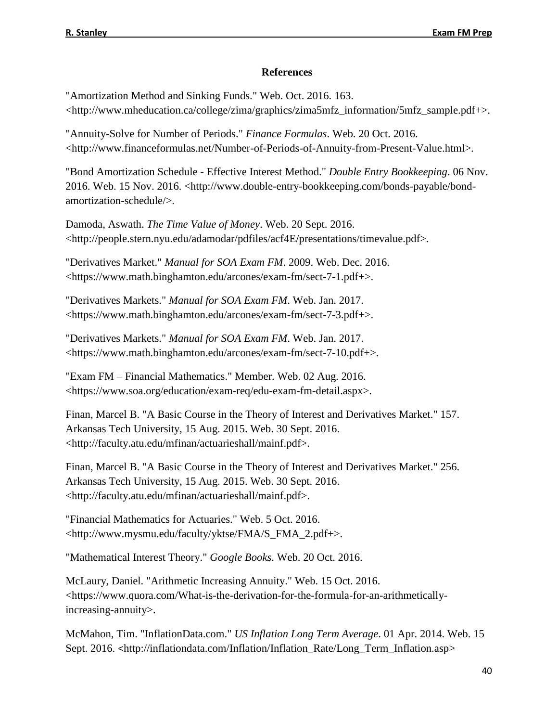### **References**

"Amortization Method and Sinking Funds." Web. Oct. 2016. 163. <http://www.mheducation.ca/college/zima/graphics/zima5mfz\_information/5mfz\_sample.pdf+>.

"Annuity-Solve for Number of Periods." *Finance Formulas*. Web. 20 Oct. 2016. <http://www.financeformulas.net/Number-of-Periods-of-Annuity-from-Present-Value.html>.

"Bond Amortization Schedule - Effective Interest Method." *Double Entry Bookkeeping*. 06 Nov. 2016. Web. 15 Nov. 2016. <http://www.double-entry-bookkeeping.com/bonds-payable/bondamortization-schedule/>.

Damoda, Aswath. *The Time Value of Money*. Web. 20 Sept. 2016. <http://people.stern.nyu.edu/adamodar/pdfiles/acf4E/presentations/timevalue.pdf>.

"Derivatives Market." *Manual for SOA Exam FM*. 2009. Web. Dec. 2016. <https://www.math.binghamton.edu/arcones/exam-fm/sect-7-1.pdf+>.

"Derivatives Markets." *Manual for SOA Exam FM*. Web. Jan. 2017. <https://www.math.binghamton.edu/arcones/exam-fm/sect-7-3.pdf+>.

"Derivatives Markets." *Manual for SOA Exam FM*. Web. Jan. 2017. <https://www.math.binghamton.edu/arcones/exam-fm/sect-7-10.pdf+>.

"Exam FM – Financial Mathematics." Member. Web. 02 Aug. 2016. <https://www.soa.org/education/exam-req/edu-exam-fm-detail.aspx>.

Finan, Marcel B. "A Basic Course in the Theory of Interest and Derivatives Market." 157. Arkansas Tech University, 15 Aug. 2015. Web. 30 Sept. 2016. <http://faculty.atu.edu/mfinan/actuarieshall/mainf.pdf>.

Finan, Marcel B. "A Basic Course in the Theory of Interest and Derivatives Market." 256. Arkansas Tech University, 15 Aug. 2015. Web. 30 Sept. 2016. <http://faculty.atu.edu/mfinan/actuarieshall/mainf.pdf>.

"Financial Mathematics for Actuaries." Web. 5 Oct. 2016. <http://www.mysmu.edu/faculty/yktse/FMA/S\_FMA\_2.pdf+>.

"Mathematical Interest Theory." *Google Books*. Web. 20 Oct. 2016.

McLaury, Daniel. "Arithmetic Increasing Annuity." Web. 15 Oct. 2016. <https://www.quora.com/What-is-the-derivation-for-the-formula-for-an-arithmeticallyincreasing-annuity>.

McMahon, Tim. "InflationData.com." *US Inflation Long Term Average*. 01 Apr. 2014. Web. 15 Sept. 2016. <[http://inflationdata.com/Inflation/Inflation\\_Rate/Long\\_Term\\_Inflation.asp>](http://inflationdata.com/Inflation/Inflation_Rate/Long_Term_Inflation.asp)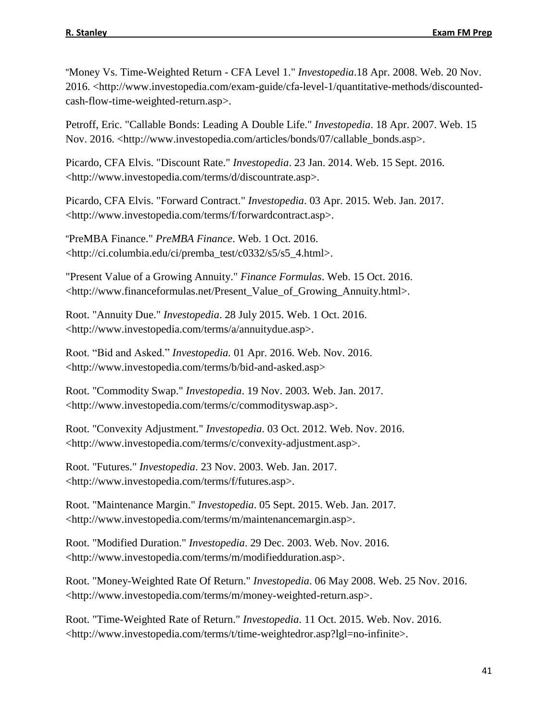"Money Vs. Time-Weighted Return - CFA Level 1." *Investopedia*.18 Apr. 2008. Web. 20 Nov. 2016. <http://www.investopedia.com/exam-guide/cfa-level-1/quantitative-methods/discountedcash-flow-time-weighted-return.asp>.

Petroff, Eric. "Callable Bonds: Leading A Double Life." *Investopedia*. 18 Apr. 2007. Web. 15 Nov. 2016. <http://www.investopedia.com/articles/bonds/07/callable\_bonds.asp>.

Picardo, CFA Elvis. "Discount Rate." *Investopedia*. 23 Jan. 2014. Web. 15 Sept. 2016. <http://www.investopedia.com/terms/d/discountrate.asp>.

Picardo, CFA Elvis. "Forward Contract." *Investopedia*. 03 Apr. 2015. Web. Jan. 2017. <http://www.investopedia.com/terms/f/forwardcontract.asp>.

"PreMBA Finance." *PreMBA Finance*. Web. 1 Oct. 2016. <http://ci.columbia.edu/ci/premba\_test/c0332/s5/s5\_4.html>.

"Present Value of a Growing Annuity." *Finance Formulas*. Web. 15 Oct. 2016. <http://www.financeformulas.net/Present\_Value\_of\_Growing\_Annuity.html>.

Root. "Annuity Due." *Investopedia*. 28 July 2015. Web. 1 Oct. 2016. <http://www.investopedia.com/terms/a/annuitydue.asp>.

Root. "Bid and Asked." *Investopedia.* 01 Apr. 2016. Web. Nov. 2016. [<http://www.investopedia.com/terms/b/bid-and-asked.asp>](http://www.investopedia.com/terms/b/bid-and-asked.asp)

Root. "Commodity Swap." *Investopedia*. 19 Nov. 2003. Web. Jan. 2017. <http://www.investopedia.com/terms/c/commodityswap.asp>.

Root. "Convexity Adjustment." *Investopedia*. 03 Oct. 2012. Web. Nov. 2016. <http://www.investopedia.com/terms/c/convexity-adjustment.asp>.

Root. "Futures." *Investopedia*. 23 Nov. 2003. Web. Jan. 2017. <http://www.investopedia.com/terms/f/futures.asp>.

Root. "Maintenance Margin." *Investopedia*. 05 Sept. 2015. Web. Jan. 2017. <http://www.investopedia.com/terms/m/maintenancemargin.asp>.

Root. "Modified Duration." *Investopedia*. 29 Dec. 2003. Web. Nov. 2016. <http://www.investopedia.com/terms/m/modifiedduration.asp>.

Root. "Money-Weighted Rate Of Return." *Investopedia*. 06 May 2008. Web. 25 Nov. 2016. <http://www.investopedia.com/terms/m/money-weighted-return.asp>.

Root. "Time-Weighted Rate of Return." *Investopedia*. 11 Oct. 2015. Web. Nov. 2016. <http://www.investopedia.com/terms/t/time-weightedror.asp?lgl=no-infinite>.